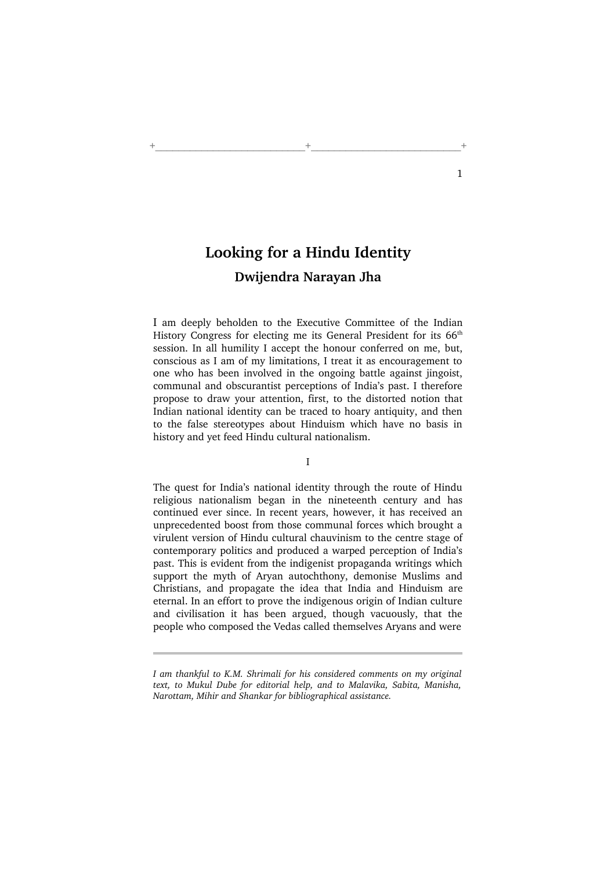## Looking for a Hindu Identity Dwijendra Narayan Jha

+\_\_\_\_\_\_\_\_\_\_\_\_\_\_\_\_\_\_\_\_\_\_\_\_\_\_+\_\_\_\_\_\_\_\_\_\_\_\_\_\_\_\_\_\_\_\_\_\_\_\_\_\_+

I am deeply beholden to the Executive Committee of the Indian History Congress for electing me its General President for its 66<sup>th</sup> session. In all humility I accept the honour conferred on me, but, conscious as I am of my limitations, I treat it as encouragement to one who has been involved in the ongoing battle against jingoist, communal and obscurantist perceptions of India's past. I therefore propose to draw your attention, first, to the distorted notion that Indian national identity can be traced to hoary antiquity, and then to the false stereotypes about Hinduism which have no basis in history and yet feed Hindu cultural nationalism.

The quest for India's national identity through the route of Hindu religious nationalism began in the nineteenth century and has continued ever since. In recent years, however, it has received an unprecedented boost from those communal forces which brought a virulent version of Hindu cultural chauvinism to the centre stage of contemporary politics and produced a warped perception of India's past. This is evident from the indigenist propaganda writings which support the myth of Aryan autochthony, demonise Muslims and Christians, and propagate the idea that India and Hinduism are eternal. In an effort to prove the indigenous origin of Indian culture and civilisation it has been argued, though vacuously, that the people who composed the Vedas called themselves Aryans and were

I am thankful to K.M. Shrimali for his considered comments on my original text, to Mukul Dube for editorial help, and to Malavika, Sabita, Manisha, Narottam, Mihir and Shankar for bibliographical assistance.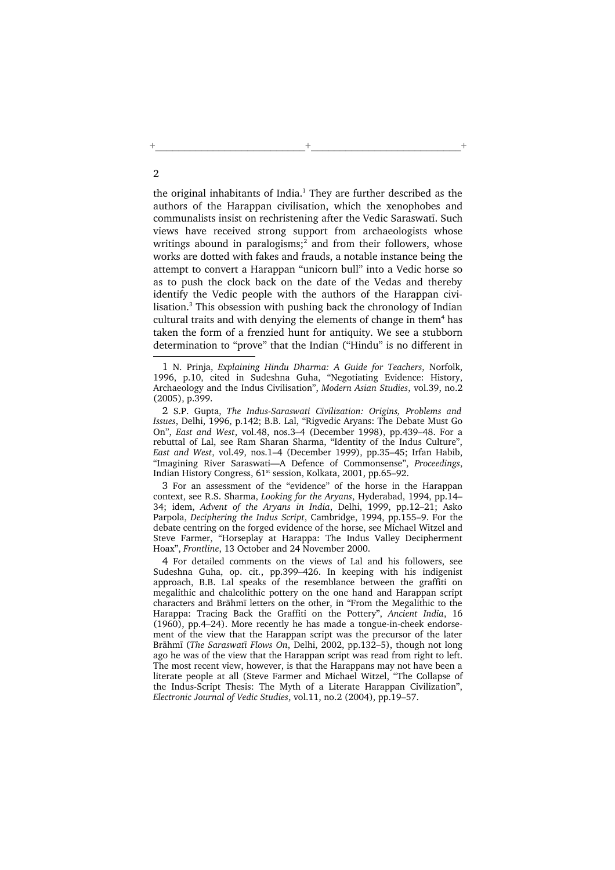the original inhabitants of India. $<sup>1</sup>$  They are further described as the</sup> authors of the Harappan civilisation, which the xenophobes and communalists insist on rechristening after the Vedic Saraswatī. Such views have received strong support from archaeologists whose writings abound in paralogisms; $^2$  and from their followers, whose works are dotted with fakes and frauds, a notable instance being the attempt to convert a Harappan "unicorn bull" into a Vedic horse so as to push the clock back on the date of the Vedas and thereby identify the Vedic people with the authors of the Harappan civilisation.<sup>3</sup> This obsession with pushing back the chronology of Indian cultural traits and with denying the elements of change in them<sup>4</sup> has taken the form of a frenzied hunt for antiquity. We see a stubborn determination to "prove" that the Indian ("Hindu" is no different in

+\_\_\_\_\_\_\_\_\_\_\_\_\_\_\_\_\_\_\_\_\_\_\_\_\_\_+\_\_\_\_\_\_\_\_\_\_\_\_\_\_\_\_\_\_\_\_\_\_\_\_\_\_+

2 S.P. Gupta, The Indus-Saraswati Civilization: Origins, Problems and Issues, Delhi, 1996, p.142; B.B. Lal, "Rigvedic Aryans: The Debate Must Go On", East and West, vol.48, nos.3–4 (December 1998), pp.439–48. For a rebuttal of Lal, see Ram Sharan Sharma, "Identity of the Indus Culture", East and West, vol.49, nos.1–4 (December 1999), pp.35–45; Irfan Habib, "Imagining River Saraswati—A Defence of Commonsense", Proceedings, Indian History Congress,  $61<sup>st</sup>$  session, Kolkata, 2001, pp.65–92.

3 For an assessment of the "evidence" of the horse in the Harappan context, see R.S. Sharma, Looking for the Aryans, Hyderabad, 1994, pp.14– 34; idem, Advent of the Aryans in India, Delhi, 1999, pp.12–21; Asko Parpola, Deciphering the Indus Script, Cambridge, 1994, pp.155–9. For the debate centring on the forged evidence of the horse, see Michael Witzel and Steve Farmer, "Horseplay at Harappa: The Indus Valley Decipherment Hoax", Frontline, 13 October and 24 November 2000.

4 For detailed comments on the views of Lal and his followers, see Sudeshna Guha, op. cit., pp.399–426. In keeping with his indigenist approach, B.B. Lal speaks of the resemblance between the graffiti on megalithic and chalcolithic pottery on the one hand and Harappan script characters and Brāhmī letters on the other, in "From the Megalithic to the Harappa: Tracing Back the Graffiti on the Pottery", Ancient India, 16 (1960), pp.4–24). More recently he has made a tongue-in-cheek endorsement of the view that the Harappan script was the precursor of the later Brāhmī (The Saraswatī Flows On, Delhi, 2002, pp.132–5), though not long ago he was of the view that the Harappan script was read from right to left. The most recent view, however, is that the Harappans may not have been a literate people at all (Steve Farmer and Michael Witzel, "The Collapse of the Indus-Script Thesis: The Myth of a Literate Harappan Civilization", Electronic Journal of Vedic Studies, vol.11, no.2 (2004), pp.19–57.

<sup>1</sup> N. Prinja, Explaining Hindu Dharma: A Guide for Teachers, Norfolk, 1996, p.10, cited in Sudeshna Guha, "Negotiating Evidence: History, Archaeology and the Indus Civilisation", Modern Asian Studies, vol.39, no.2 (2005), p.399.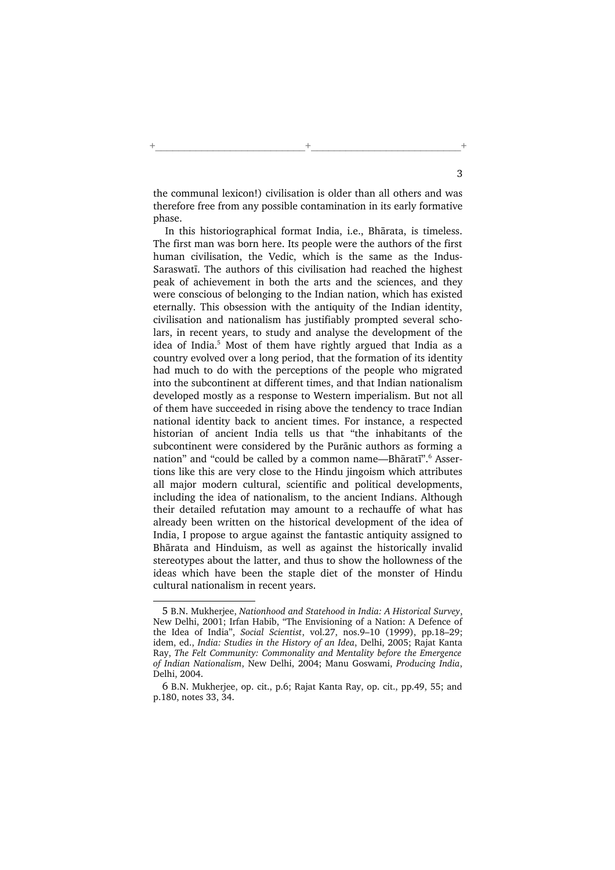the communal lexicon!) civilisation is older than all others and was therefore free from any possible contamination in its early formative phase.

+\_\_\_\_\_\_\_\_\_\_\_\_\_\_\_\_\_\_\_\_\_\_\_\_\_\_+\_\_\_\_\_\_\_\_\_\_\_\_\_\_\_\_\_\_\_\_\_\_\_\_\_\_+

In this historiographical format India, i.e., Bhārata, is timeless. The first man was born here. Its people were the authors of the first human civilisation, the Vedic, which is the same as the Indus-Saraswatī. The authors of this civilisation had reached the highest peak of achievement in both the arts and the sciences, and they were conscious of belonging to the Indian nation, which has existed eternally. This obsession with the antiquity of the Indian identity, civilisation and nationalism has justifiably prompted several scholars, in recent years, to study and analyse the development of the idea of India.<sup>5</sup> Most of them have rightly argued that India as a country evolved over a long period, that the formation of its identity had much to do with the perceptions of the people who migrated into the subcontinent at different times, and that Indian nationalism developed mostly as a response to Western imperialism. But not all of them have succeeded in rising above the tendency to trace Indian national identity back to ancient times. For instance, a respected historian of ancient India tells us that "the inhabitants of the subcontinent were considered by the Purānic authors as forming a nation" and "could be called by a common name—Bhāratī".<sup>6</sup> Assertions like this are very close to the Hindu jingoism which attributes all major modern cultural, scientific and political developments, including the idea of nationalism, to the ancient Indians. Although their detailed refutation may amount to a rechauffe of what has already been written on the historical development of the idea of India, I propose to argue against the fantastic antiquity assigned to Bhārata and Hinduism, as well as against the historically invalid stereotypes about the latter, and thus to show the hollowness of the ideas which have been the staple diet of the monster of Hindu cultural nationalism in recent years.

<sup>5</sup> B.N. Mukherjee, Nationhood and Statehood in India: A Historical Survey, New Delhi, 2001; Irfan Habib, "The Envisioning of a Nation: A Defence of the Idea of India", Social Scientist, vol.27, nos.9–10 (1999), pp.18–29; idem, ed., India: Studies in the History of an Idea, Delhi, 2005; Rajat Kanta Ray, The Felt Community: Commonality and Mentality before the Emergence of Indian Nationalism, New Delhi, 2004; Manu Goswami, Producing India, Delhi, 2004.

<sup>6</sup> B.N. Mukherjee, op. cit., p.6; Rajat Kanta Ray, op. cit., pp.49, 55; and p.180, notes 33, 34.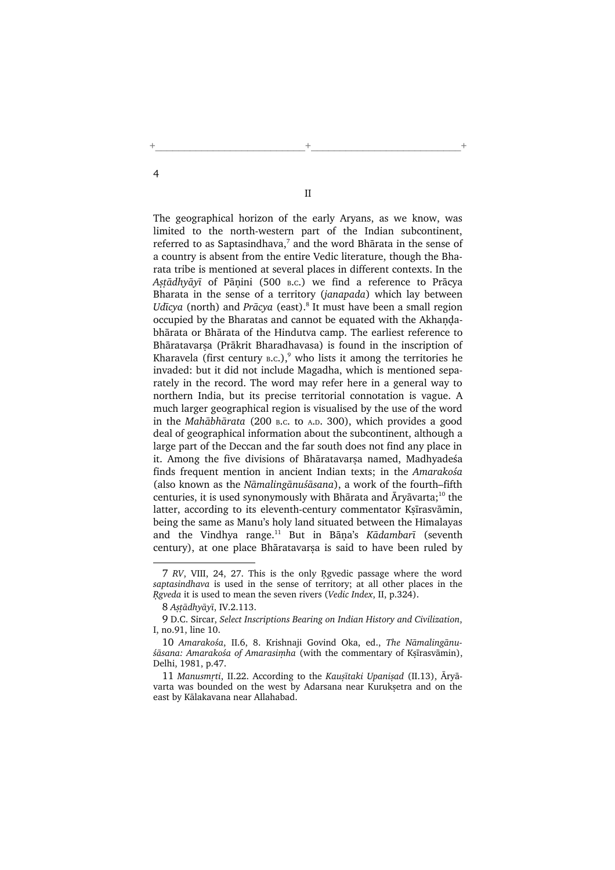II

+\_\_\_\_\_\_\_\_\_\_\_\_\_\_\_\_\_\_\_\_\_\_\_\_\_\_+\_\_\_\_\_\_\_\_\_\_\_\_\_\_\_\_\_\_\_\_\_\_\_\_\_\_+

The geographical horizon of the early Aryans, as we know, was limited to the north-western part of the Indian subcontinent, referred to as Saptasindhava,<sup>7</sup> and the word Bhārata in the sense of a country is absent from the entire Vedic literature, though the Bharata tribe is mentioned at several places in different contexts. In the Astādhyāyī of Pānini (500 B.c.) we find a reference to Prācya Bharata in the sense of a territory (janapada) which lay between Udīcya (north) and Prācya (east).<sup>8</sup> It must have been a small region occupied by the Bharatas and cannot be equated with the Akhandabhārata or Bhārata of the Hindutva camp. The earliest reference to Bhāratavarsa (Prākrit Bharadhavasa) is found in the inscription of Kharavela (first century  $B.C.$ ),<sup>9</sup> who lists it among the territories he invaded: but it did not include Magadha, which is mentioned separately in the record. The word may refer here in a general way to northern India, but its precise territorial connotation is vague. A much larger geographical region is visualised by the use of the word in the Mahābhārata (200 <sup>B</sup>.C. to <sup>A</sup>.D. 300), which provides a good deal of geographical information about the subcontinent, although a large part of the Deccan and the far south does not find any place in it. Among the five divisions of Bhāratavarsa named, Madhyadeśa finds frequent mention in ancient Indian texts; in the Amarakośa (also known as the Nāmalingānuśāsana), a work of the fourth–fifth centuries, it is used synonymously with Bhārata and  $\bar{A}$ ryāvarta;<sup>10</sup> the latter, according to its eleventh-century commentator Ksīrasvāmin, being the same as Manu's holy land situated between the Himalayas and the Vindhya range.<sup>11</sup> But in Bāņa's Kādambarī (seventh century), at one place Bhāratavarsa is said to have been ruled by

<sup>7</sup> RV, VIII, 24, 27. This is the only Ngvedic passage where the word saptasindhava is used in the sense of territory; at all other places in the Rgveda it is used to mean the seven rivers (Vedic Index, II, p.324).

<sup>8</sup> Astādhyāyī, IV.2.113.

<sup>9</sup> D.C. Sircar, Select Inscriptions Bearing on Indian History and Civilization, I, no.91, line 10.

<sup>10</sup> Amarakośa, II.6, 8. Krishnaji Govind Oka, ed., The Nāmalingānu- $\delta$ āsana: Amarakośa of Amarasimha (with the commentary of Ksīrasvāmin), Delhi, 1981, p.47.

<sup>11</sup> Manusmrti, II.22. According to the Kausītaki Upanisad (II.13). Ārvāvarta was bounded on the west by Adarsana near Kuruksetra and on the east by Kālakavana near Allahabad.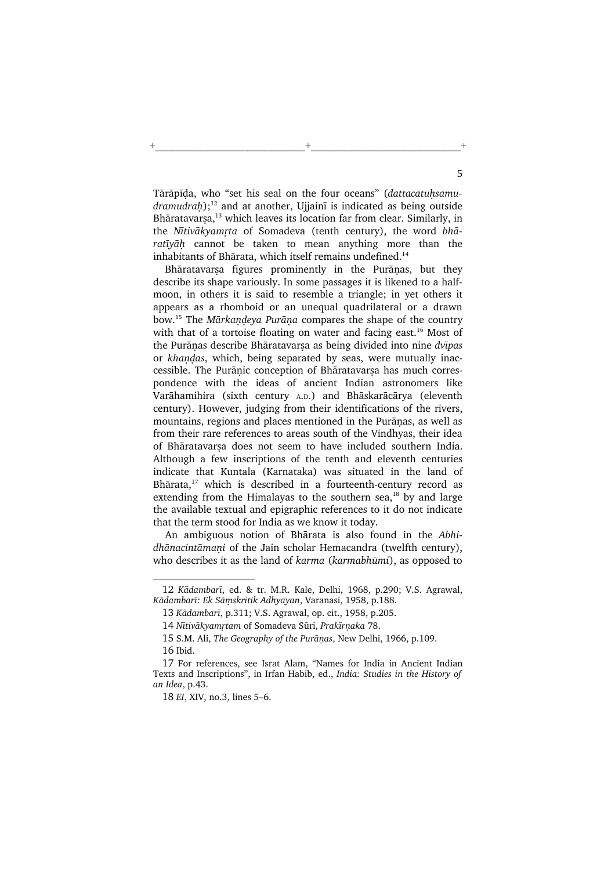Tārāpīda, who "set his seal on the four oceans" (dattacatuhsamu $d$ ramudrah);<sup>12</sup> and at another, Ujjainī is indicated as being outside Bhāratavarṣa,<sup>13</sup> which leaves its location far from clear. Similarly, in the Nītivākyamrta of Somadeva (tenth century), the word bhā $rativ\bar{a}h$  cannot be taken to mean anything more than the inhabitants of Bhārata, which itself remains undefined.<sup>14</sup>

+\_\_\_\_\_\_\_\_\_\_\_\_\_\_\_\_\_\_\_\_\_\_\_\_\_\_+\_\_\_\_\_\_\_\_\_\_\_\_\_\_\_\_\_\_\_\_\_\_\_\_\_\_+

Bhāratavarsa figures prominently in the Purānas, but they describe its shape variously. In some passages it is likened to a halfmoon, in others it is said to resemble a triangle; in yet others it appears as a rhomboid or an unequal quadrilateral or a drawn bow.<sup>15</sup> The *Mārkandeva Purāna* compares the shape of the country with that of a tortoise floating on water and facing east.<sup>16</sup> Most of the Purānas describe Bhāratavarsa as being divided into nine dvīpas or khandas, which, being separated by seas, were mutually inaccessible. The Purānic conception of Bhāratavarsa has much correspondence with the ideas of ancient Indian astronomers like Varāhamihira (sixth century <sup>A</sup>.D.) and Bhāskarācārya (eleventh century). However, judging from their identifications of the rivers, mountains, regions and places mentioned in the Purānas, as well as from their rare references to areas south of the Vindhyas, their idea of Bhāratavarsa does not seem to have included southern India. Although a few inscriptions of the tenth and eleventh centuries indicate that Kuntala (Karnataka) was situated in the land of Bhārata,<sup>17</sup> which is described in a fourteenth-century record as extending from the Himalayas to the southern sea, $18$  by and large the available textual and epigraphic references to it do not indicate that the term stood for India as we know it today.

An ambiguous notion of Bhārata is also found in the Abhidhānacintāmani of the Jain scholar Hemacandra (twelfth century), who describes it as the land of karma (karmabhūmi), as opposed to

<sup>12</sup> Kādambarī, ed. & tr. M.R. Kale, Delhi, 1968, p.290; V.S. Agrawal, Kādambarī: Ek Sāmskritik Adhyayan, Varanasi, 1958, p.188.

<sup>13</sup> Kādambarī, p.311; V.S. Agrawal, op. cit., 1958, p.205.

<sup>14</sup> Nītivākyamrtam of Somadeva Sūri, Prakīrņaka 78.

<sup>15</sup> S.M. Ali, The Geography of the Purānas, New Delhi, 1966, p.109. 16 Ibid.

<sup>17</sup> For references, see Israt Alam, "Names for India in Ancient Indian Texts and Inscriptions", in Irfan Habib, ed., India: Studies in the History of an Idea, p.43.

<sup>18</sup> EI, XIV, no.3, lines 5–6.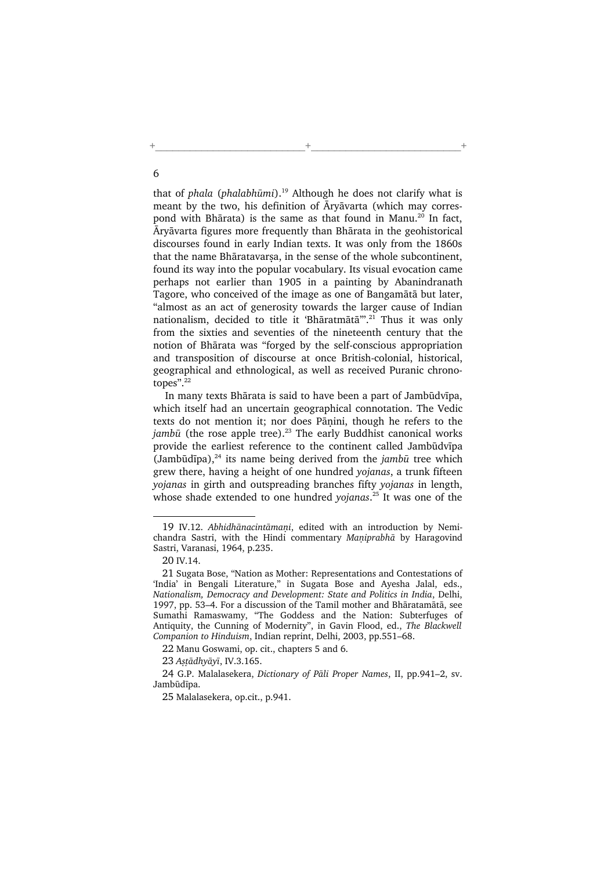that of phala (phalabhūmi).<sup>19</sup> Although he does not clarify what is meant by the two, his definition of Āryāvarta (which may correspond with Bhārata) is the same as that found in Manu.<sup>20</sup> In fact, Āryāvarta figures more frequently than Bhārata in the geohistorical discourses found in early Indian texts. It was only from the 1860s that the name Bhāratavarsa, in the sense of the whole subcontinent, found its way into the popular vocabulary. Its visual evocation came perhaps not earlier than 1905 in a painting by Abanindranath Tagore, who conceived of the image as one of Bangamātā but later, "almost as an act of generosity towards the larger cause of Indian nationalism, decided to title it 'Bhāratmātā'".<sup>21</sup> Thus it was only from the sixties and seventies of the nineteenth century that the notion of Bhārata was "forged by the self-conscious appropriation and transposition of discourse at once British-colonial, historical, geographical and ethnological, as well as received Puranic chronotopes".<sup>22</sup>

+\_\_\_\_\_\_\_\_\_\_\_\_\_\_\_\_\_\_\_\_\_\_\_\_\_\_+\_\_\_\_\_\_\_\_\_\_\_\_\_\_\_\_\_\_\_\_\_\_\_\_\_\_+

In many texts Bhārata is said to have been a part of Jambūdvīpa, which itself had an uncertain geographical connotation. The Vedic texts do not mention it; nor does Pānini, though he refers to the jambū (the rose apple tree).<sup>23</sup> The early Buddhist canonical works provide the earliest reference to the continent called Jambūdvīpa (Jambūdīpa), $^{24}$  its name being derived from the jambū tree which grew there, having a height of one hundred yojanas, a trunk fifteen yojanas in girth and outspreading branches fifty yojanas in length, whose shade extended to one hundred yojanas.<sup>25</sup> It was one of the

<sup>19</sup> IV.12. Abhidhānacintāmani, edited with an introduction by Nemichandra Sastri, with the Hindi commentary Maniprabhā by Haragovind Sastri, Varanasi, 1964, p.235.

<sup>20</sup> IV.14.

<sup>21</sup> Sugata Bose, "Nation as Mother: Representations and Contestations of 'India' in Bengali Literature," in Sugata Bose and Ayesha Jalal, eds., Nationalism, Democracy and Development: State and Politics in India, Delhi, 1997, pp. 53–4. For a discussion of the Tamil mother and Bhāratamātā, see Sumathi Ramaswamy, "The Goddess and the Nation: Subterfuges of Antiquity, the Cunning of Modernity", in Gavin Flood, ed., The Blackwell Companion to Hinduism, Indian reprint, Delhi, 2003, pp.551–68.

<sup>22</sup> Manu Goswami, op. cit., chapters 5 and 6.

<sup>23</sup> Astādhyāyī, IV.3.165.

<sup>24</sup> G.P. Malalasekera, Dictionary of Pāli Proper Names, II, pp.941–2, sv. Jambūdīpa.

<sup>25</sup> Malalasekera, op.cit., p.941.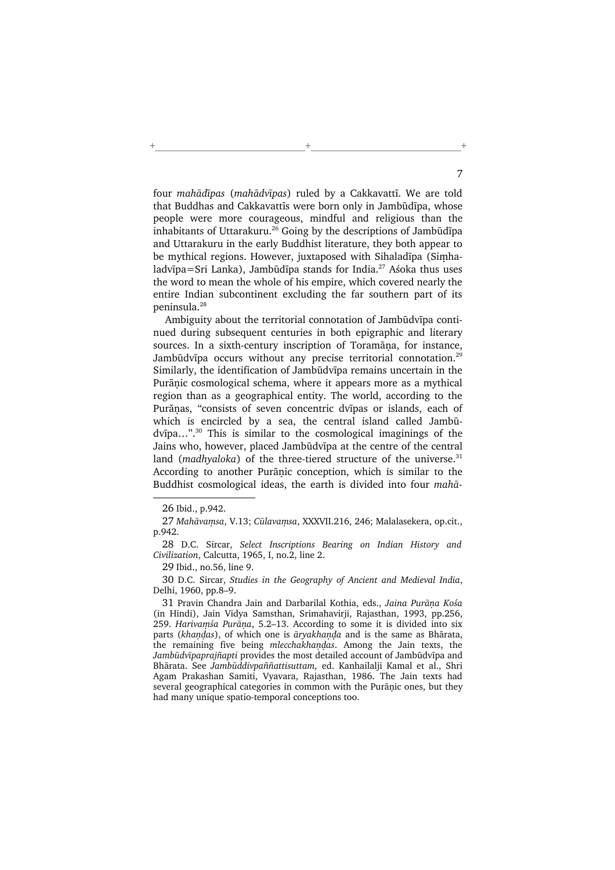four mahādīpas (mahādvīpas) ruled by a Cakkavattī. We are told that Buddhas and Cakkavattīs were born only in Jambūdīpa, whose people were more courageous, mindful and religious than the inhabitants of Uttarakuru.<sup>26</sup> Going by the descriptions of Jambūdīpa and Uttarakuru in the early Buddhist literature, they both appear to be mythical regions. However, juxtaposed with Sihaladīpa (Simhaladvīpa=Sri Lanka), Jambūdīpa stands for India.<sup>27</sup> Aśoka thus uses the word to mean the whole of his empire, which covered nearly the entire Indian subcontinent excluding the far southern part of its peninsula.<sup>28</sup>

+\_\_\_\_\_\_\_\_\_\_\_\_\_\_\_\_\_\_\_\_\_\_\_\_\_\_+\_\_\_\_\_\_\_\_\_\_\_\_\_\_\_\_\_\_\_\_\_\_\_\_\_\_+

Ambiguity about the territorial connotation of Jambūdvīpa continued during subsequent centuries in both epigraphic and literary sources. In a sixth-century inscription of Toramāna, for instance, Jambūdvīpa occurs without any precise territorial connotation.<sup>29</sup> Similarly, the identification of Jambūdvīpa remains uncertain in the Purānic cosmological schema, where it appears more as a mythical region than as a geographical entity. The world, according to the Purānas, "consists of seven concentric dvīpas or islands, each of which is encircled by a sea, the central island called Jambūdvīpa…".<sup>30</sup> This is similar to the cosmological imaginings of the Jains who, however, placed Jambūdvīpa at the centre of the central land (madhyaloka) of the three-tiered structure of the universe. $31$ According to another Purānic conception, which is similar to the Buddhist cosmological ideas, the earth is divided into four mahā-

<sup>26</sup> Ibid., p.942.

<sup>27</sup> Mahāvamsa, V.13; Cūlavamsa, XXXVII.216, 246; Malalasekera, op.cit., p.942.

<sup>28</sup> D.C. Sircar, Select Inscriptions Bearing on Indian History and Civilization, Calcutta, 1965, I, no.2, line 2.

<sup>29</sup> Ibid., no.56, line 9.

<sup>30</sup> D.C. Sircar, Studies in the Geography of Ancient and Medieval India, Delhi, 1960, pp.8–9.

<sup>31</sup> Pravin Chandra Jain and Darbarilal Kothia, eds., Jaina Purāna Kośa (in Hindi), Jain Vidya Samsthan, Srimahavirji, Rajasthan, 1993, pp.256, 259. Harivamśa Purāņa, 5.2-13. According to some it is divided into six parts (khandas), of which one is āryakhanda and is the same as Bhārata, the remaining five being mlecchakhandas. Among the Jain texts, the Jambūdvīpaprajñapti provides the most detailed account of Jambūdvīpa and Bhārata. See Jambūddivpaññattisuttam, ed. Kanhailalji Kamal et al., Shri Agam Prakashan Samiti, Vyavara, Rajasthan, 1986. The Jain texts had several geographical categories in common with the Purānic ones, but they had many unique spatio-temporal conceptions too.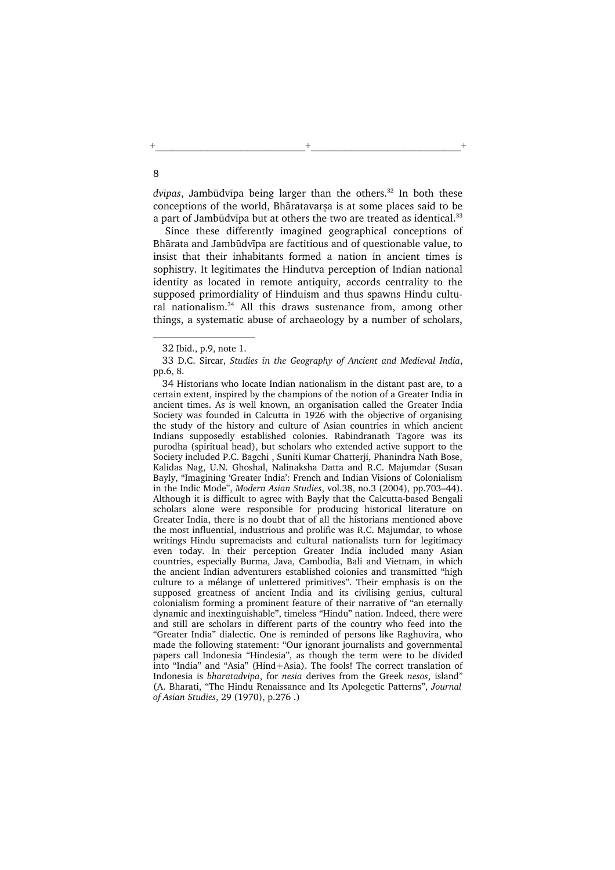$dv\bar{v}$  Jambūdvīpa being larger than the others.<sup>32</sup> In both these conceptions of the world, Bhāratavarsa is at some places said to be a part of Jambūdvīpa but at others the two are treated as identical.<sup>33</sup>

Since these differently imagined geographical conceptions of Bhārata and Jambūdvīpa are factitious and of questionable value, to insist that their inhabitants formed a nation in ancient times is sophistry. It legitimates the Hindutva perception of Indian national identity as located in remote antiquity, accords centrality to the supposed primordiality of Hinduism and thus spawns Hindu cultural nationalism.<sup>34</sup> All this draws sustenance from, among other things, a systematic abuse of archaeology by a number of scholars,

<sup>32</sup> Ibid., p.9, note 1.

<sup>33</sup> D.C. Sircar, Studies in the Geography of Ancient and Medieval India, pp.6, 8.

<sup>34</sup> Historians who locate Indian nationalism in the distant past are, to a certain extent, inspired by the champions of the notion of a Greater India in ancient times. As is well known, an organisation called the Greater India Society was founded in Calcutta in 1926 with the objective of organising the study of the history and culture of Asian countries in which ancient Indians supposedly established colonies. Rabindranath Tagore was its purodha (spiritual head), but scholars who extended active support to the Society included P.C. Bagchi , Suniti Kumar Chatterji, Phanindra Nath Bose, Kalidas Nag, U.N. Ghoshal, Nalinaksha Datta and R.C. Majumdar (Susan Bayly, "Imagining 'Greater India': French and Indian Visions of Colonialism in the Indic Mode", Modern Asian Studies, vol.38, no.3 (2004), pp.703–44). Although it is difficult to agree with Bayly that the Calcutta-based Bengali scholars alone were responsible for producing historical literature on Greater India, there is no doubt that of all the historians mentioned above the most influential, industrious and prolific was R.C. Majumdar, to whose writings Hindu supremacists and cultural nationalists turn for legitimacy even today. In their perception Greater India included many Asian countries, especially Burma, Java, Cambodia, Bali and Vietnam, in which the ancient Indian adventurers established colonies and transmitted "high culture to a mélange of unlettered primitives". Their emphasis is on the supposed greatness of ancient India and its civilising genius, cultural colonialism forming a prominent feature of their narrative of "an eternally dynamic and inextinguishable", timeless "Hindu" nation. Indeed, there were and still are scholars in different parts of the country who feed into the "Greater India" dialectic. One is reminded of persons like Raghuvira, who made the following statement: "Our ignorant journalists and governmental papers call Indonesia "Hindesia", as though the term were to be divided into "India" and "Asia" (Hind+Asia). The fools! The correct translation of Indonesia is bharatadvipa, for nesia derives from the Greek nesos, island" (A. Bharati, "The Hindu Renaissance and Its Apolegetic Patterns", Journal of Asian Studies, 29 (1970), p.276 .)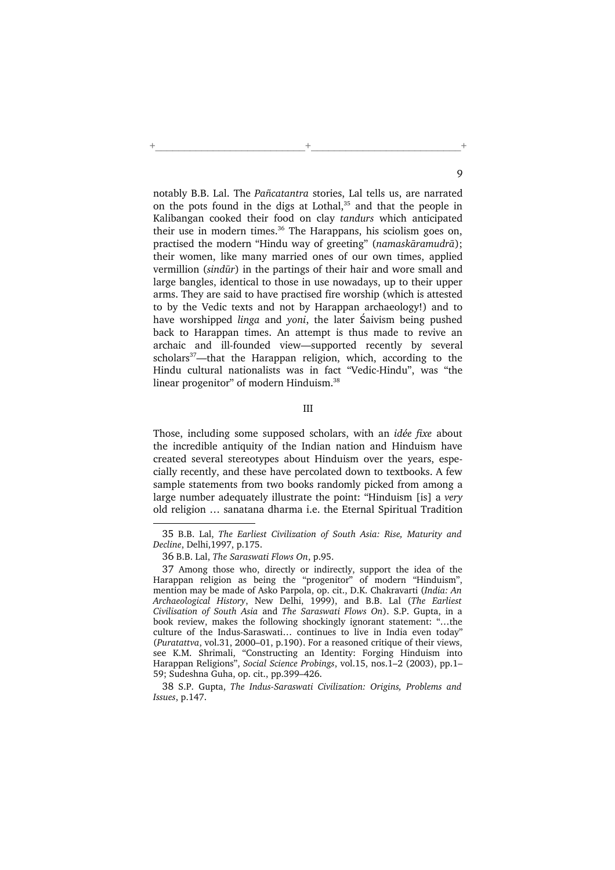notably B.B. Lal. The Pañcatantra stories, Lal tells us, are narrated on the pots found in the digs at Lothal,<sup>35</sup> and that the people in Kalibangan cooked their food on clay tandurs which anticipated their use in modern times.<sup>36</sup> The Harappans, his sciolism goes on, practised the modern "Hindu way of greeting" (namaskāramudrā); their women, like many married ones of our own times, applied vermillion (sindūr) in the partings of their hair and wore small and large bangles, identical to those in use nowadays, up to their upper arms. They are said to have practised fire worship (which is attested to by the Vedic texts and not by Harappan archaeology!) and to have worshipped *linga* and *yoni*, the later Saivism being pushed back to Harappan times. An attempt is thus made to revive an archaic and ill-founded view—supported recently by several scholars $37$ —that the Harappan religion, which, according to the Hindu cultural nationalists was in fact "Vedic-Hindu", was "the linear progenitor" of modern Hinduism.<sup>38</sup>

+\_\_\_\_\_\_\_\_\_\_\_\_\_\_\_\_\_\_\_\_\_\_\_\_\_\_+\_\_\_\_\_\_\_\_\_\_\_\_\_\_\_\_\_\_\_\_\_\_\_\_\_\_+

III

Those, including some supposed scholars, with an idée fixe about the incredible antiquity of the Indian nation and Hinduism have created several stereotypes about Hinduism over the years, especially recently, and these have percolated down to textbooks. A few sample statements from two books randomly picked from among a large number adequately illustrate the point: "Hinduism [is] a very old religion … sanatana dharma i.e. the Eternal Spiritual Tradition

38 S.P. Gupta, The Indus-Saraswati Civilization: Origins, Problems and Issues, p.147.

<sup>35</sup> B.B. Lal, The Earliest Civilization of South Asia: Rise, Maturity and Decline, Delhi,1997, p.175.

<sup>36</sup> B.B. Lal, The Saraswati Flows On, p.95.

<sup>37</sup> Among those who, directly or indirectly, support the idea of the Harappan religion as being the "progenitor" of modern "Hinduism", mention may be made of Asko Parpola, op. cit., D.K. Chakravarti (India: An Archaeological History, New Delhi, 1999), and B.B. Lal (The Earliest Civilisation of South Asia and The Saraswati Flows On). S.P. Gupta, in a book review, makes the following shockingly ignorant statement: "…the culture of the Indus-Saraswati… continues to live in India even today" (Puratattva, vol.31, 2000–01, p.190). For a reasoned critique of their views, see K.M. Shrimali, "Constructing an Identity: Forging Hinduism into Harappan Religions", Social Science Probings, vol.15, nos.1–2 (2003), pp.1– 59; Sudeshna Guha, op. cit., pp.399–426.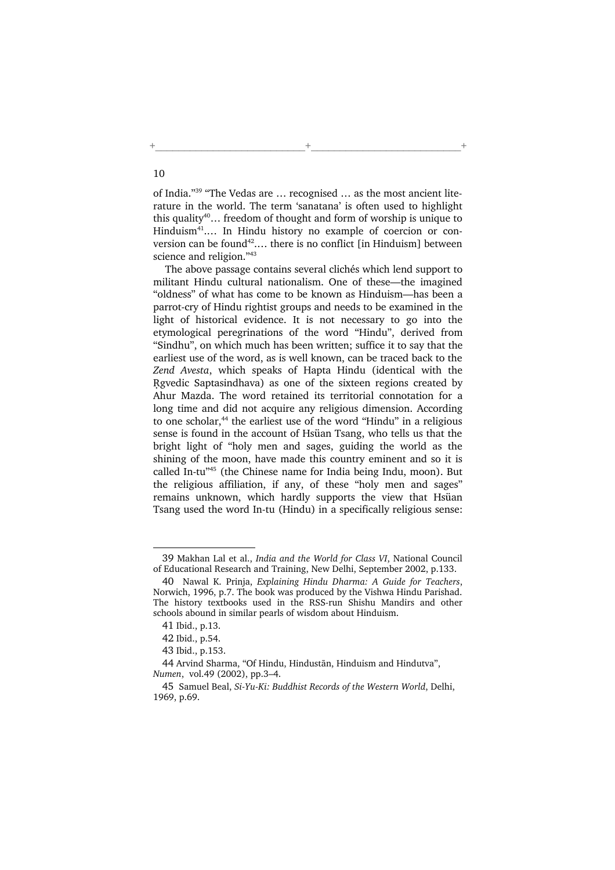of India."<sup>39</sup> "The Vedas are … recognised … as the most ancient literature in the world. The term 'sanatana' is often used to highlight this quality<sup>40</sup>... freedom of thought and form of worship is unique to Hinduism<sup>41</sup>.... In Hindu history no example of coercion or conversion can be found<sup>42</sup>.... there is no conflict [in Hinduism] between science and religion."<sup>43</sup>

+\_\_\_\_\_\_\_\_\_\_\_\_\_\_\_\_\_\_\_\_\_\_\_\_\_\_+\_\_\_\_\_\_\_\_\_\_\_\_\_\_\_\_\_\_\_\_\_\_\_\_\_\_+

The above passage contains several clichés which lend support to militant Hindu cultural nationalism. One of these—the imagined "oldness" of what has come to be known as Hinduism—has been a parrot-cry of Hindu rightist groups and needs to be examined in the light of historical evidence. It is not necessary to go into the etymological peregrinations of the word "Hindu", derived from "Sindhu", on which much has been written; suffice it to say that the earliest use of the word, as is well known, can be traced back to the Zend Avesta, which speaks of Hapta Hindu (identical with the Ngvedic Saptasindhava) as one of the sixteen regions created by Ahur Mazda. The word retained its territorial connotation for a long time and did not acquire any religious dimension. According to one scholar,<sup>44</sup> the earliest use of the word "Hindu" in a religious sense is found in the account of Hsüan Tsang, who tells us that the bright light of "holy men and sages, guiding the world as the shining of the moon, have made this country eminent and so it is called In-tu"<sup>45</sup> (the Chinese name for India being Indu, moon). But the religious affiliation, if any, of these "holy men and sages" remains unknown, which hardly supports the view that Hsüan Tsang used the word In-tu (Hindu) in a specifically religious sense:

<sup>39</sup> Makhan Lal et al., India and the World for Class VI, National Council of Educational Research and Training, New Delhi, September 2002, p.133.

<sup>40</sup> Nawal K. Prinja, Explaining Hindu Dharma: A Guide for Teachers, Norwich, 1996, p.7. The book was produced by the Vishwa Hindu Parishad. The history textbooks used in the RSS-run Shishu Mandirs and other schools abound in similar pearls of wisdom about Hinduism.

<sup>41</sup> Ibid., p.13.

<sup>42</sup> Ibid., p.54.

<sup>43</sup> Ibid., p.153.

<sup>44</sup> Arvind Sharma, "Of Hindu, Hindustān, Hinduism and Hindutva", Numen, vol.49 (2002), pp.3–4.

<sup>45</sup> Samuel Beal, Si-Yu-Ki: Buddhist Records of the Western World, Delhi, 1969, p.69.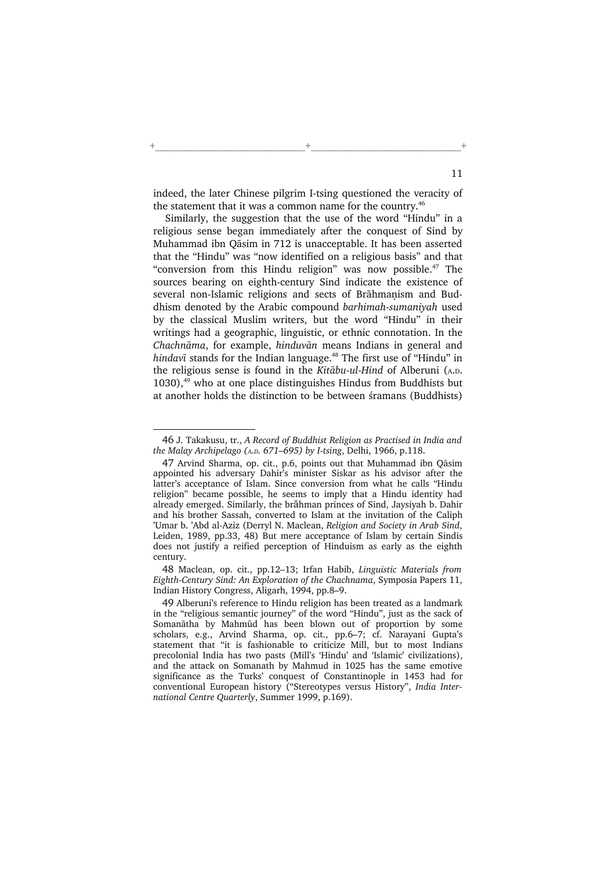indeed, the later Chinese pilgrim I-tsing questioned the veracity of the statement that it was a common name for the country.<sup>46</sup>

+\_\_\_\_\_\_\_\_\_\_\_\_\_\_\_\_\_\_\_\_\_\_\_\_\_\_+\_\_\_\_\_\_\_\_\_\_\_\_\_\_\_\_\_\_\_\_\_\_\_\_\_\_+

Similarly, the suggestion that the use of the word "Hindu" in a religious sense began immediately after the conquest of Sind by Muhammad ibn Qāsim in 712 is unacceptable. It has been asserted that the "Hindu" was "now identified on a religious basis" and that "conversion from this Hindu religion" was now possible.<sup>47</sup> The sources bearing on eighth-century Sind indicate the existence of several non-Islamic religions and sects of Brāhmanism and Buddhism denoted by the Arabic compound barhimah-sumaniyah used by the classical Muslim writers, but the word "Hindu" in their writings had a geographic, linguistic, or ethnic connotation. In the Chachnāma, for example, hinduvān means Indians in general and hindavī stands for the Indian language.<sup>48</sup> The first use of "Hindu" in the religious sense is found in the Kitābu-ul-Hind of Alberuni (A.D. 1030), $49$  who at one place distinguishes Hindus from Buddhists but at another holds the distinction to be between śramans (Buddhists)

48 Maclean, op. cit., pp.12–13; Irfan Habib, Linguistic Materials from Eighth-Century Sind: An Exploration of the Chachnama, Symposia Papers 11, Indian History Congress, Aligarh, 1994, pp.8–9.

<sup>46</sup> J. Takakusu, tr., A Record of Buddhist Religion as Practised in India and the Malay Archipelago (A.D. 671–695) by I-tsing, Delhi, 1966, p.118.

<sup>47</sup> Arvind Sharma, op. cit., p.6, points out that Muhammad ibn Qāsim appointed his adversary Dahir's minister Siskar as his advisor after the latter's acceptance of Islam. Since conversion from what he calls "Hindu religion" became possible, he seems to imply that a Hindu identity had already emerged. Similarly, the brāhman princes of Sind, Jaysiyah b. Dahir and his brother Sassah, converted to Islam at the invitation of the Caliph 'Umar b. 'Abd al-Aziz (Derryl N. Maclean, Religion and Society in Arab Sind, Leiden, 1989, pp.33, 48) But mere acceptance of Islam by certain Sindis does not justify a reified perception of Hinduism as early as the eighth century.

<sup>49</sup> Alberuni's reference to Hindu religion has been treated as a landmark in the "religious semantic journey" of the word "Hindu", just as the sack of Somanātha by Mahmūd has been blown out of proportion by some scholars, e.g., Arvind Sharma, op. cit., pp.6–7; cf. Narayani Gupta's statement that "it is fashionable to criticize Mill, but to most Indians precolonial India has two pasts (Mill's 'Hindu' and 'Islamic' civilizations), and the attack on Somanath by Mahmud in 1025 has the same emotive significance as the Turks' conquest of Constantinople in 1453 had for conventional European history ("Stereotypes versus History", India International Centre Quarterly, Summer 1999, p.169).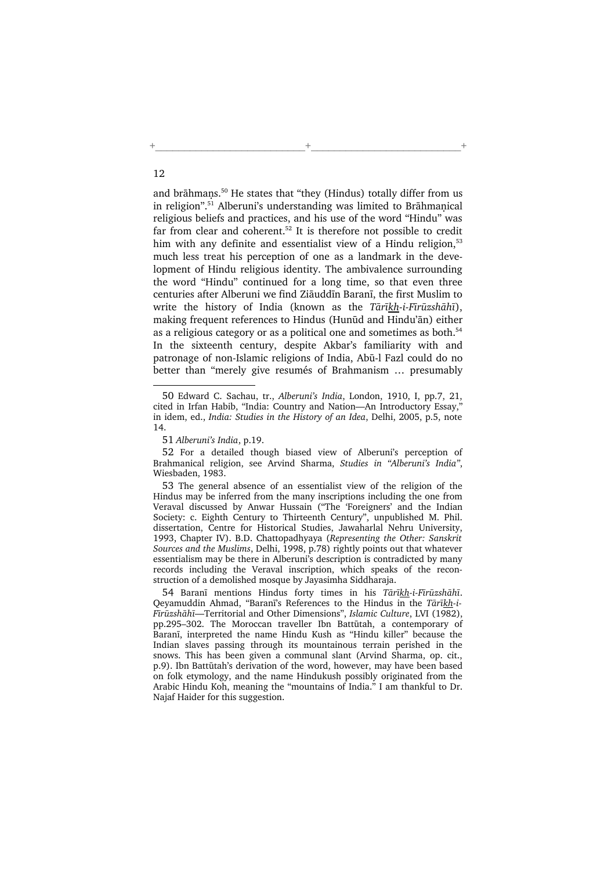and brāhmans.<sup>50</sup> He states that "they (Hindus) totally differ from us in religion".<sup>51</sup> Alberuni's understanding was limited to Brāhmanical religious beliefs and practices, and his use of the word "Hindu" was far from clear and coherent.<sup>52</sup> It is therefore not possible to credit him with any definite and essentialist view of a Hindu religion.<sup>53</sup> much less treat his perception of one as a landmark in the development of Hindu religious identity. The ambivalence surrounding the word "Hindu" continued for a long time, so that even three centuries after Alberuni we find Ziāuddīn Baranī, the first Muslim to write the history of India (known as the Tārīkh-i-Fīrūzshāhī), making frequent references to Hindus (Hunūd and Hindu'ān) either as a religious category or as a political one and sometimes as both.<sup>54</sup> In the sixteenth century, despite Akbar's familiarity with and patronage of non-Islamic religions of India, Abū-l Fazl could do no better than "merely give resumés of Brahmanism … presumably

12

+\_\_\_\_\_\_\_\_\_\_\_\_\_\_\_\_\_\_\_\_\_\_\_\_\_\_+\_\_\_\_\_\_\_\_\_\_\_\_\_\_\_\_\_\_\_\_\_\_\_\_\_\_+

<sup>50</sup> Edward C. Sachau, tr., Alberuni's India, London, 1910, I, pp.7, 21, cited in Irfan Habib, "India: Country and Nation—An Introductory Essay," in idem, ed., India: Studies in the History of an Idea, Delhi, 2005, p.5, note 14.

<sup>51</sup> Alberuni's India, p.19.

<sup>52</sup> For a detailed though biased view of Alberuni's perception of Brahmanical religion, see Arvind Sharma, Studies in "Alberuni's India", Wiesbaden, 1983.

<sup>53</sup> The general absence of an essentialist view of the religion of the Hindus may be inferred from the many inscriptions including the one from Veraval discussed by Anwar Hussain ("The 'Foreigners' and the Indian Society: c. Eighth Century to Thirteenth Century", unpublished M. Phil. dissertation, Centre for Historical Studies, Jawaharlal Nehru University, 1993, Chapter IV). B.D. Chattopadhyaya (Representing the Other: Sanskrit Sources and the Muslims, Delhi, 1998, p.78) rightly points out that whatever essentialism may be there in Alberuni's description is contradicted by many records including the Veraval inscription, which speaks of the reconstruction of a demolished mosque by Jayasimha Siddharaja.

<sup>54</sup> Baranī mentions Hindus forty times in his Tārīkh-i-Fīrūzshāhī. Qeyamuddin Ahmad, "Baranī's References to the Hindus in the Tārīkh-i-Fīrūzshāhī—Territorial and Other Dimensions", Islamic Culture, LVI (1982), pp.295–302. The Moroccan traveller Ibn Battūtah, a contemporary of Baranī, interpreted the name Hindu Kush as "Hindu killer" because the Indian slaves passing through its mountainous terrain perished in the snows. This has been given a communal slant (Arvind Sharma, op. cit., p.9). Ibn Battūtah's derivation of the word, however, may have been based on folk etymology, and the name Hindukush possibly originated from the Arabic Hindu Koh, meaning the "mountains of India." I am thankful to Dr. Najaf Haider for this suggestion.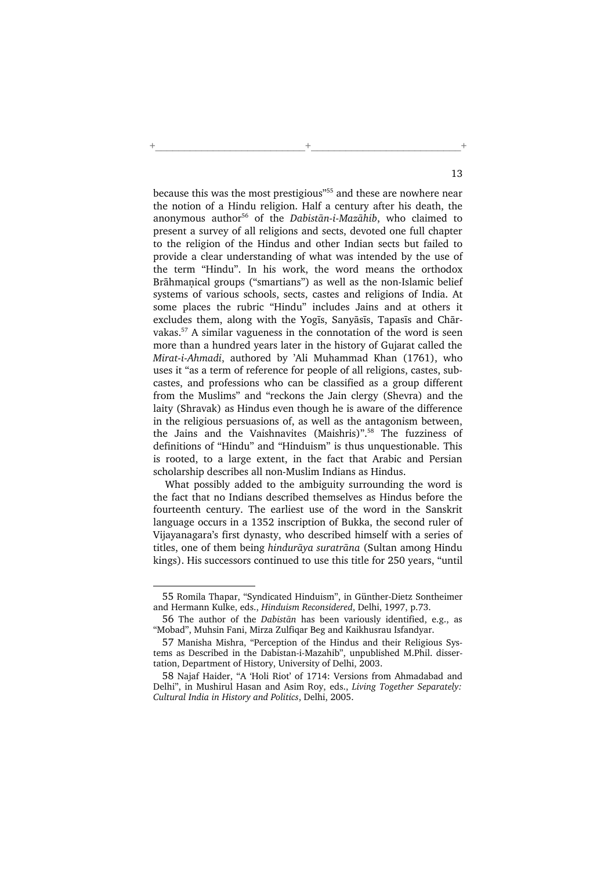because this was the most prestigious"<sup>55</sup> and these are nowhere near the notion of a Hindu religion. Half a century after his death, the anonymous author<sup>56</sup> of the Dabistan-i-Mazahib, who claimed to present a survey of all religions and sects, devoted one full chapter to the religion of the Hindus and other Indian sects but failed to provide a clear understanding of what was intended by the use of the term "Hindu". In his work, the word means the orthodox Brāhmanical groups ("smartians") as well as the non-Islamic belief systems of various schools, sects, castes and religions of India. At some places the rubric "Hindu" includes Jains and at others it excludes them, along with the Yogīs, Sanyāsīs, Tapasīs and Chārvakas.<sup>57</sup> A similar vagueness in the connotation of the word is seen more than a hundred years later in the history of Gujarat called the Mirat-i-Ahmadi, authored by 'Ali Muhammad Khan (1761), who uses it "as a term of reference for people of all religions, castes, subcastes, and professions who can be classified as a group different from the Muslims" and "reckons the Jain clergy (Shevra) and the laity (Shravak) as Hindus even though he is aware of the difference in the religious persuasions of, as well as the antagonism between, the Jains and the Vaishnavites (Maishris)".<sup>58</sup> The fuzziness of definitions of "Hindu" and "Hinduism" is thus unquestionable. This is rooted, to a large extent, in the fact that Arabic and Persian scholarship describes all non-Muslim Indians as Hindus.

+\_\_\_\_\_\_\_\_\_\_\_\_\_\_\_\_\_\_\_\_\_\_\_\_\_\_+\_\_\_\_\_\_\_\_\_\_\_\_\_\_\_\_\_\_\_\_\_\_\_\_\_\_+

What possibly added to the ambiguity surrounding the word is the fact that no Indians described themselves as Hindus before the fourteenth century. The earliest use of the word in the Sanskrit language occurs in a 1352 inscription of Bukka, the second ruler of Vijayanagara's first dynasty, who described himself with a series of titles, one of them being hindurāya suratrāna (Sultan among Hindu kings). His successors continued to use this title for 250 years, "until

<sup>55</sup> Romila Thapar, "Syndicated Hinduism", in Günther-Dietz Sontheimer and Hermann Kulke, eds., Hinduism Reconsidered, Delhi, 1997, p.73.

<sup>56</sup> The author of the Dabistān has been variously identified, e.g., as "Mobad", Muhsin Fani, Mirza Zulfiqar Beg and Kaikhusrau Isfandyar.

<sup>57</sup> Manisha Mishra, "Perception of the Hindus and their Religious Systems as Described in the Dabistan-i-Mazahib", unpublished M.Phil. dissertation, Department of History, University of Delhi, 2003.

<sup>58</sup> Najaf Haider, "A 'Holi Riot' of 1714: Versions from Ahmadabad and Delhi", in Mushirul Hasan and Asim Roy, eds., Living Together Separately: Cultural India in History and Politics, Delhi, 2005.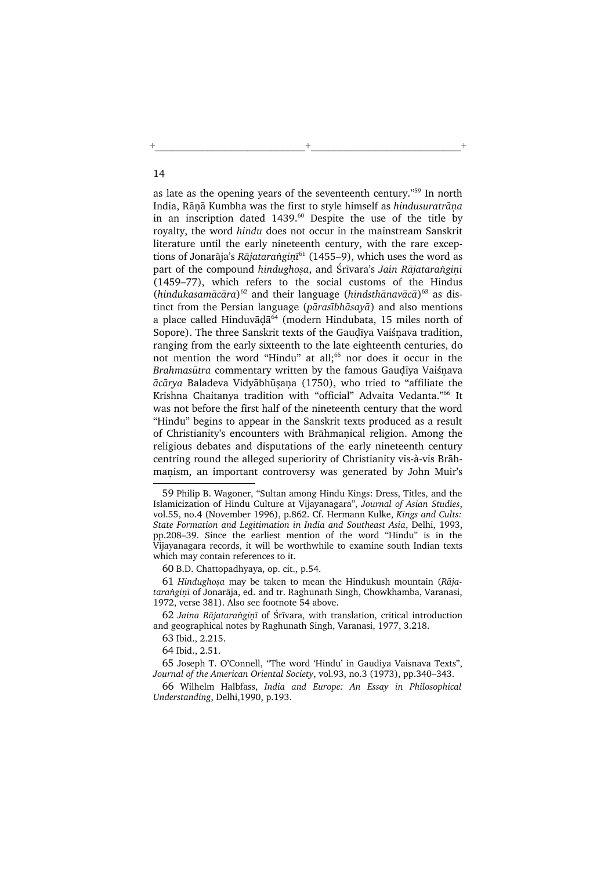as late as the opening years of the seventeenth century."<sup>59</sup> In north India, Rānā Kumbha was the first to style himself as hindusuratrāna in an inscription dated 1439.<sup>60</sup> Despite the use of the title by royalty, the word hindu does not occur in the mainstream Sanskrit literature until the early nineteenth century, with the rare exceptions of Jonarāja's Rājataranginī<sup>61</sup> (1455–9), which uses the word as part of the compound hindughosa, and Śrīvara's Jain Rājataranginī (1459–77), which refers to the social customs of the Hindus (hindukasamācāra)<sup>62</sup> and their language (hindsthānavācā)<sup>63</sup> as distinct from the Persian language (pārasībhāsayā) and also mentions a place called Hinduvāḍā<sup>64</sup> (modern Hindubata, 15 miles north of Sopore). The three Sanskrit texts of the Gaudīya Vaiśnava tradition, ranging from the early sixteenth to the late eighteenth centuries, do not mention the word "Hindu" at all;<sup>65</sup> nor does it occur in the Brahmasūtra commentary written by the famous Gaudīya Vaiśnava ācārya Baladeva Vidyābhūsana (1750), who tried to "affiliate the Krishna Chaitanya tradition with "official" Advaita Vedanta."<sup>66</sup> It was not before the first half of the nineteenth century that the word "Hindu" begins to appear in the Sanskrit texts produced as a result of Christianity's encounters with Brāhmanical religion. Among the religious debates and disputations of the early nineteenth century centring round the alleged superiority of Christianity vis-à-vis Brāhmanism, an important controversy was generated by John Muir's

+\_\_\_\_\_\_\_\_\_\_\_\_\_\_\_\_\_\_\_\_\_\_\_\_\_\_+\_\_\_\_\_\_\_\_\_\_\_\_\_\_\_\_\_\_\_\_\_\_\_\_\_\_+

60 B.D. Chattopadhyaya, op. cit., p.54.

61 Hindughosa may be taken to mean the Hindukush mountain (Rājataranginī of Jonarāja, ed. and tr. Raghunath Singh, Chowkhamba, Varanasi, 1972, verse 381). Also see footnote 54 above.

62 Jaina Rājataranginī of Śrīvara, with translation, critical introduction and geographical notes by Raghunath Singh, Varanasi, 1977, 3.218.

63 Ibid., 2.215.

64 Ibid., 2.51.

65 Joseph T. O'Connell, "The word 'Hindu' in Gaudiya Vaisnava Texts", Journal of the American Oriental Society, vol.93, no.3 (1973), pp.340–343.

66 Wilhelm Halbfass, India and Europe: An Essay in Philosophical Understanding, Delhi,1990, p.193.

<sup>59</sup> Philip B. Wagoner, "Sultan among Hindu Kings: Dress, Titles, and the Islamicization of Hindu Culture at Vijayanagara", Journal of Asian Studies, vol.55, no.4 (November 1996), p.862. Cf. Hermann Kulke, Kings and Cults: State Formation and Legitimation in India and Southeast Asia, Delhi, 1993, pp.208–39. Since the earliest mention of the word "Hindu" is in the Vijayanagara records, it will be worthwhile to examine south Indian texts which may contain references to it.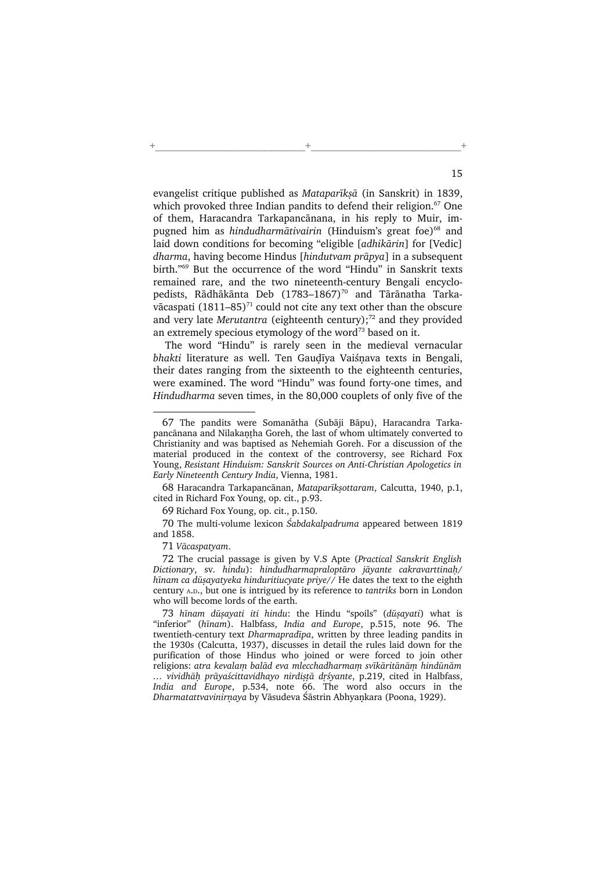evangelist critique published as Mataparīksā (in Sanskrit) in 1839, which provoked three Indian pandits to defend their religion.<sup>67</sup> One of them, Haracandra Tarkapancānana, in his reply to Muir, impugned him as hindudharmātivairin (Hinduism's great foe)<sup>68</sup> and laid down conditions for becoming "eligible [adhikārin] for [Vedic] dharma, having become Hindus [hindutvam prāpya] in a subsequent birth."<sup>69</sup> But the occurrence of the word "Hindu" in Sanskrit texts remained rare, and the two nineteenth-century Bengali encyclopedists, Rādhākānta Deb  $(1783-1867)^{70}$  and Tārānatha Tarkavācaspati  $(1811-85)^{71}$  could not cite any text other than the obscure and very late Merutantra (eighteenth century); $72$  and they provided an extremely specious etymology of the word $73$  based on it.

+\_\_\_\_\_\_\_\_\_\_\_\_\_\_\_\_\_\_\_\_\_\_\_\_\_\_+\_\_\_\_\_\_\_\_\_\_\_\_\_\_\_\_\_\_\_\_\_\_\_\_\_\_+

 The word "Hindu" is rarely seen in the medieval vernacular bhakti literature as well. Ten Gaudīya Vaiśnava texts in Bengali, their dates ranging from the sixteenth to the eighteenth centuries, were examined. The word "Hindu" was found forty-one times, and Hindudharma seven times, in the 80,000 couplets of only five of the

71 Vācaspatyam.

72 The crucial passage is given by V.S Apte (Practical Sanskrit English Dictionary, sv. hindu): hindudharmapraloptāro jāyante cakravarttinah/ hīnam ca dūsayatyeka hinduritiucyate priye// He dates the text to the eighth century <sup>A</sup>.D., but one is intrigued by its reference to tantriks born in London who will become lords of the earth.

73 hīnam dūșayati iti hindu: the Hindu "spoils" (dūșayati) what is "inferior" (hīnam). Halbfass, India and Europe, p.515, note 96. The twentieth-century text Dharmapradīpa, written by three leading pandits in the 1930s (Calcutta, 1937), discusses in detail the rules laid down for the purification of those Hindus who joined or were forced to join other religions: atra kevalam balād eva mlecchadharmam svīkāritānām hindūnām ... vividhāh prāyaścittavidhayo nirdistā drśyante, p.219, cited in Halbfass, India and Europe, p.534, note 66. The word also occurs in the Dharmatattvavinirņaya by Vāsudeva Śāstrin Abhyankara (Poona, 1929).

<sup>67</sup> The pandits were Somanātha (Subāji Bāpu), Haracandra Tarkapancānana and Nilakantha Goreh, the last of whom ultimately converted to Christianity and was baptised as Nehemiah Goreh. For a discussion of the material produced in the context of the controversy, see Richard Fox Young, Resistant Hinduism: Sanskrit Sources on Anti-Christian Apologetics in Early Nineteenth Century India, Vienna, 1981.

<sup>68</sup> Haracandra Tarkapancānan, Mataparīksottaram, Calcutta, 1940, p.1, cited in Richard Fox Young, op. cit., p.93.

<sup>69</sup> Richard Fox Young, op. cit., p.150.

<sup>70</sup> The multi-volume lexicon Śabdakalpadruma appeared between 1819 and 1858.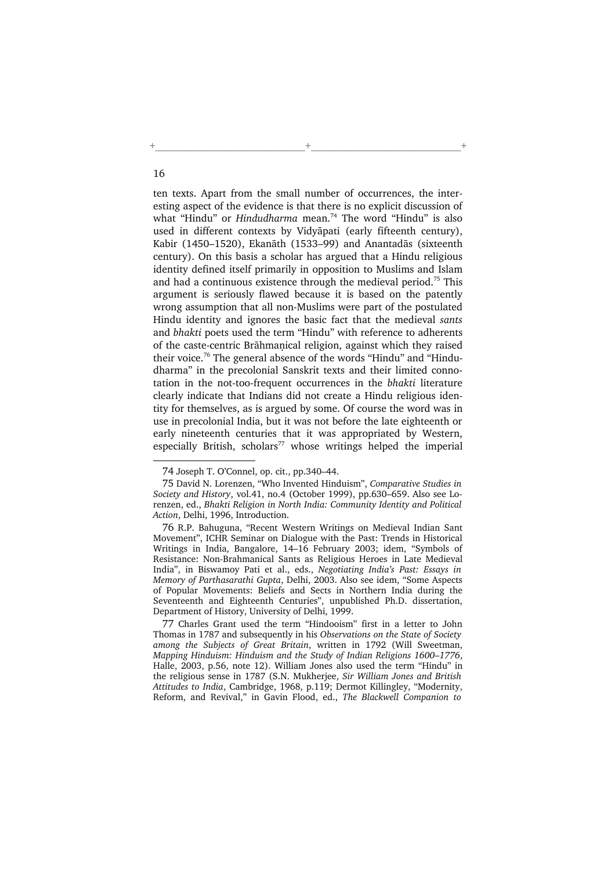ten texts. Apart from the small number of occurrences, the interesting aspect of the evidence is that there is no explicit discussion of what "Hindu" or Hindudharma mean.<sup>74</sup> The word "Hindu" is also used in different contexts by Vidyāpati (early fifteenth century), Kabir (1450–1520), Ekanāth (1533–99) and Anantadās (sixteenth century). On this basis a scholar has argued that a Hindu religious identity defined itself primarily in opposition to Muslims and Islam and had a continuous existence through the medieval period.<sup>75</sup> This argument is seriously flawed because it is based on the patently wrong assumption that all non-Muslims were part of the postulated Hindu identity and ignores the basic fact that the medieval sants and bhakti poets used the term "Hindu" with reference to adherents of the caste-centric Brāhmanical religion, against which they raised their voice.<sup>76</sup> The general absence of the words "Hindu" and "Hindudharma" in the precolonial Sanskrit texts and their limited connotation in the not-too-frequent occurrences in the bhakti literature clearly indicate that Indians did not create a Hindu religious identity for themselves, as is argued by some. Of course the word was in use in precolonial India, but it was not before the late eighteenth or early nineteenth centuries that it was appropriated by Western, especially British, scholars<sup>77</sup> whose writings helped the imperial

+\_\_\_\_\_\_\_\_\_\_\_\_\_\_\_\_\_\_\_\_\_\_\_\_\_\_+\_\_\_\_\_\_\_\_\_\_\_\_\_\_\_\_\_\_\_\_\_\_\_\_\_\_+

<sup>74</sup> Joseph T. O'Connel, op. cit., pp.340–44.

<sup>75</sup> David N. Lorenzen, "Who Invented Hinduism", Comparative Studies in Society and History, vol.41, no.4 (October 1999), pp.630–659. Also see Lorenzen, ed., Bhakti Religion in North India: Community Identity and Political Action, Delhi, 1996, Introduction.

<sup>76</sup> R.P. Bahuguna, "Recent Western Writings on Medieval Indian Sant Movement", ICHR Seminar on Dialogue with the Past: Trends in Historical Writings in India, Bangalore, 14–16 February 2003; idem, "Symbols of Resistance: Non-Brahmanical Sants as Religious Heroes in Late Medieval India", in Biswamoy Pati et al., eds., Negotiating India's Past: Essays in Memory of Parthasarathi Gupta, Delhi, 2003. Also see idem, "Some Aspects of Popular Movements: Beliefs and Sects in Northern India during the Seventeenth and Eighteenth Centuries", unpublished Ph.D. dissertation, Department of History, University of Delhi, 1999.

<sup>77</sup> Charles Grant used the term "Hindooism" first in a letter to John Thomas in 1787 and subsequently in his Observations on the State of Society among the Subjects of Great Britain, written in 1792 (Will Sweetman, Mapping Hinduism: Hinduism and the Study of Indian Religions 1600–1776, Halle, 2003, p.56, note 12). William Jones also used the term "Hindu" in the religious sense in 1787 (S.N. Mukherjee, Sir William Jones and British Attitudes to India, Cambridge, 1968, p.119; Dermot Killingley, "Modernity, Reform, and Revival," in Gavin Flood, ed., The Blackwell Companion to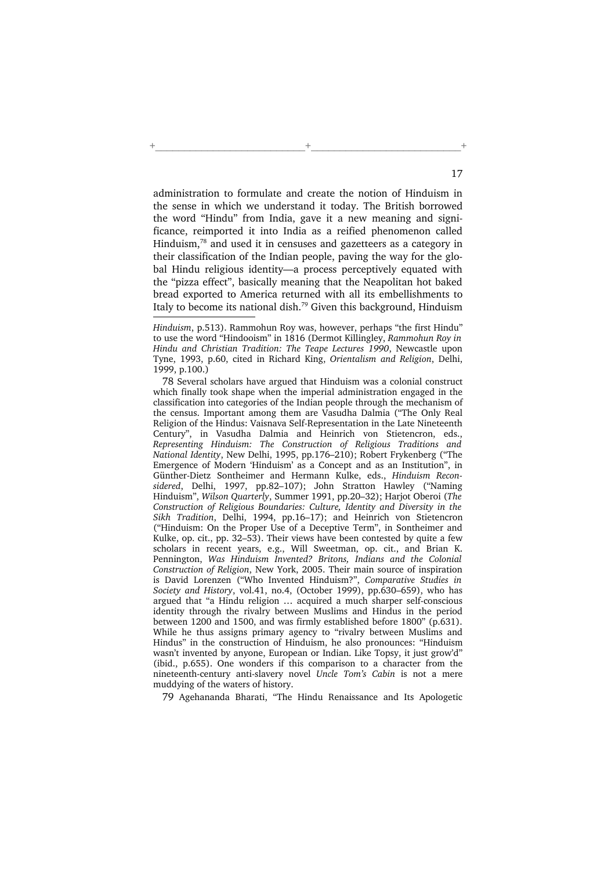administration to formulate and create the notion of Hinduism in the sense in which we understand it today. The British borrowed the word "Hindu" from India, gave it a new meaning and significance, reimported it into India as a reified phenomenon called Hinduism,<sup>78</sup> and used it in censuses and gazetteers as a category in their classification of the Indian people, paving the way for the global Hindu religious identity—a process perceptively equated with the "pizza effect", basically meaning that the Neapolitan hot baked bread exported to America returned with all its embellishments to Italy to become its national dish.<sup>79</sup> Given this background, Hinduism

+\_\_\_\_\_\_\_\_\_\_\_\_\_\_\_\_\_\_\_\_\_\_\_\_\_\_+\_\_\_\_\_\_\_\_\_\_\_\_\_\_\_\_\_\_\_\_\_\_\_\_\_\_+

78 Several scholars have argued that Hinduism was a colonial construct which finally took shape when the imperial administration engaged in the classification into categories of the Indian people through the mechanism of the census. Important among them are Vasudha Dalmia ("The Only Real Religion of the Hindus: Vaisnava Self-Representation in the Late Nineteenth Century", in Vasudha Dalmia and Heinrich von Stietencron, eds., Representing Hinduism: The Construction of Religious Traditions and National Identity, New Delhi, 1995, pp.176–210); Robert Frykenberg ("The Emergence of Modern 'Hinduism' as a Concept and as an Institution", in Günther-Dietz Sontheimer and Hermann Kulke, eds., Hinduism Reconsidered, Delhi, 1997, pp.82–107); John Stratton Hawley ("Naming Hinduism", Wilson Quarterly, Summer 1991, pp.20–32); Harjot Oberoi (The Construction of Religious Boundaries: Culture, Identity and Diversity in the Sikh Tradition, Delhi, 1994, pp.16–17); and Heinrich von Stietencron ("Hinduism: On the Proper Use of a Deceptive Term", in Sontheimer and Kulke, op. cit., pp. 32–53). Their views have been contested by quite a few scholars in recent years, e.g., Will Sweetman, op. cit., and Brian K. Pennington, Was Hinduism Invented? Britons, Indians and the Colonial Construction of Religion, New York, 2005. Their main source of inspiration is David Lorenzen ("Who Invented Hinduism?", Comparative Studies in Society and History, vol.41, no.4, (October 1999), pp.630–659), who has argued that "a Hindu religion … acquired a much sharper self-conscious identity through the rivalry between Muslims and Hindus in the period between 1200 and 1500, and was firmly established before 1800" (p.631). While he thus assigns primary agency to "rivalry between Muslims and Hindus" in the construction of Hinduism, he also pronounces: "Hinduism wasn't invented by anyone, European or Indian. Like Topsy, it just grow'd" (ibid., p.655). One wonders if this comparison to a character from the nineteenth-century anti-slavery novel Uncle Tom's Cabin is not a mere muddying of the waters of history.

79 Agehananda Bharati, "The Hindu Renaissance and Its Apologetic

Hinduism, p.513). Rammohun Roy was, however, perhaps "the first Hindu" to use the word "Hindooism" in 1816 (Dermot Killingley, Rammohun Roy in Hindu and Christian Tradition: The Teape Lectures 1990, Newcastle upon Tyne, 1993, p.60, cited in Richard King, Orientalism and Religion, Delhi, 1999, p.100.)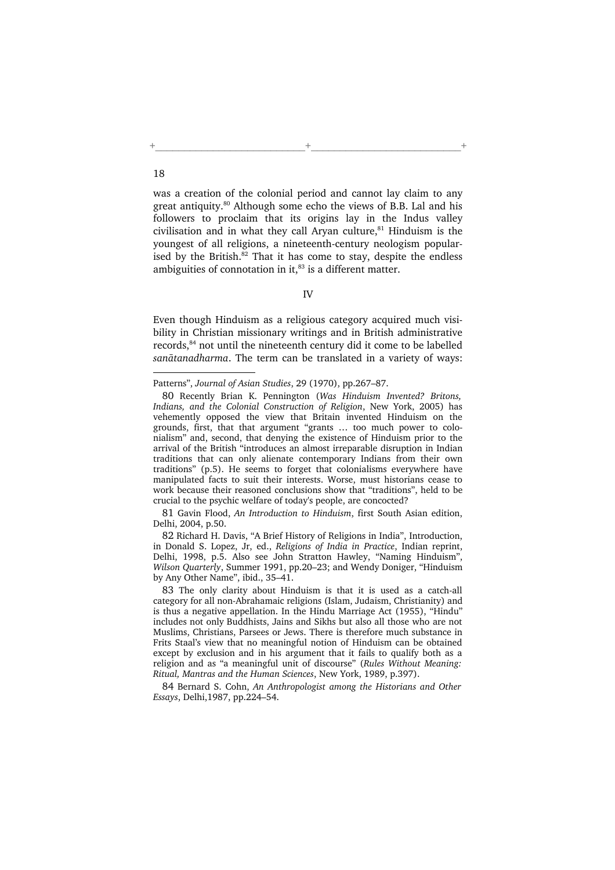was a creation of the colonial period and cannot lay claim to any great antiquity.<sup>80</sup> Although some echo the views of B.B. Lal and his followers to proclaim that its origins lay in the Indus valley civilisation and in what they call Aryan culture, $81$  Hinduism is the youngest of all religions, a nineteenth-century neologism popularised by the British. $82$  That it has come to stay, despite the endless ambiguities of connotation in it, $^{83}$  is a different matter.

+\_\_\_\_\_\_\_\_\_\_\_\_\_\_\_\_\_\_\_\_\_\_\_\_\_\_+\_\_\_\_\_\_\_\_\_\_\_\_\_\_\_\_\_\_\_\_\_\_\_\_\_\_+

## IV

Even though Hinduism as a religious category acquired much visibility in Christian missionary writings and in British administrative records,<sup>84</sup> not until the nineteenth century did it come to be labelled sanātanadharma. The term can be translated in a variety of ways:

Patterns", Journal of Asian Studies, 29 (1970), pp.267–87.

<sup>80</sup> Recently Brian K. Pennington (Was Hinduism Invented? Britons, Indians, and the Colonial Construction of Religion, New York, 2005) has vehemently opposed the view that Britain invented Hinduism on the grounds, first, that that argument "grants … too much power to colonialism" and, second, that denying the existence of Hinduism prior to the arrival of the British "introduces an almost irreparable disruption in Indian traditions that can only alienate contemporary Indians from their own traditions" (p.5). He seems to forget that colonialisms everywhere have manipulated facts to suit their interests. Worse, must historians cease to work because their reasoned conclusions show that "traditions", held to be crucial to the psychic welfare of today's people, are concocted?

<sup>81</sup> Gavin Flood, An Introduction to Hinduism, first South Asian edition, Delhi, 2004, p.50.

<sup>82</sup> Richard H. Davis, "A Brief History of Religions in India", Introduction, in Donald S. Lopez, Jr, ed., Religions of India in Practice, Indian reprint, Delhi, 1998, p.5. Also see John Stratton Hawley, "Naming Hinduism", Wilson Quarterly, Summer 1991, pp.20–23; and Wendy Doniger, "Hinduism by Any Other Name", ibid., 35–41.

<sup>83</sup> The only clarity about Hinduism is that it is used as a catch-all category for all non-Abrahamaic religions (Islam, Judaism, Christianity) and is thus a negative appellation. In the Hindu Marriage Act (1955), "Hindu" includes not only Buddhists, Jains and Sikhs but also all those who are not Muslims, Christians, Parsees or Jews. There is therefore much substance in Frits Staal's view that no meaningful notion of Hinduism can be obtained except by exclusion and in his argument that it fails to qualify both as a religion and as "a meaningful unit of discourse" (Rules Without Meaning: Ritual, Mantras and the Human Sciences, New York, 1989, p.397).

<sup>84</sup> Bernard S. Cohn, An Anthropologist among the Historians and Other Essays, Delhi,1987, pp.224–54.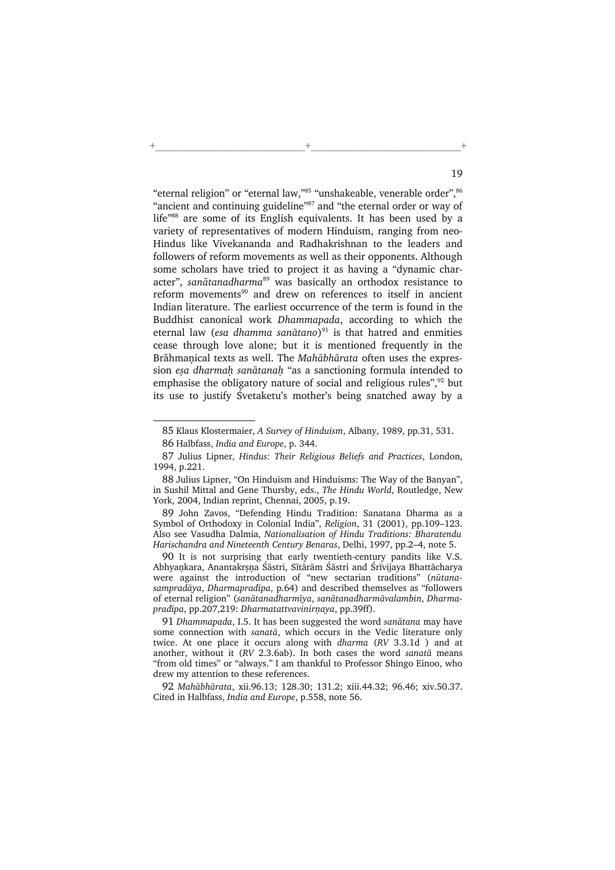"eternal religion" or "eternal law,"<sup>85</sup> "unshakeable, venerable order", <sup>86</sup> "ancient and continuing guideline"<sup>87</sup> and "the eternal order or way of life"<sup>88</sup> are some of its English equivalents. It has been used by a variety of representatives of modern Hinduism, ranging from neo-Hindus like Vivekananda and Radhakrishnan to the leaders and followers of reform movements as well as their opponents. Although some scholars have tried to project it as having a "dynamic character", sanātanadharma<sup>89</sup> was basically an orthodox resistance to reform movements<sup>90</sup> and drew on references to itself in ancient Indian literature. The earliest occurrence of the term is found in the Buddhist canonical work Dhammapada, according to which the eternal law (*esa dhamma sanātano*)<sup>91</sup> is that hatred and enmities cease through love alone; but it is mentioned frequently in the Brāhmanical texts as well. The Mahābhārata often uses the expression esa dharmah sanātanah "as a sanctioning formula intended to emphasise the obligatory nature of social and religious rules", $92$  but its use to justify Śvetaketu's mother's being snatched away by a

+\_\_\_\_\_\_\_\_\_\_\_\_\_\_\_\_\_\_\_\_\_\_\_\_\_\_+\_\_\_\_\_\_\_\_\_\_\_\_\_\_\_\_\_\_\_\_\_\_\_\_\_\_+

<sup>85</sup> Klaus Klostermaier, A Survey of Hinduism, Albany, 1989, pp.31, 531.

<sup>86</sup> Halbfass, India and Europe, p. 344.

<sup>87</sup> Julius Lipner, Hindus: Their Religious Beliefs and Practices, London, 1994, p.221.

<sup>88</sup> Julius Lipner, "On Hinduism and Hinduisms: The Way of the Banyan", in Sushil Mittal and Gene Thursby, eds., The Hindu World, Routledge, New York, 2004, Indian reprint, Chennai, 2005, p.19.

<sup>89</sup> John Zavos, "Defending Hindu Tradition: Sanatana Dharma as a Symbol of Orthodoxy in Colonial India", Religion, 31 (2001), pp.109–123. Also see Vasudha Dalmia, Nationalisation of Hindu Traditions: Bharatendu Harischandra and Nineteenth Century Benaras, Delhi, 1997, pp.2–4, note 5.

<sup>90</sup> It is not surprising that early twentieth-century pandits like V.S. Abhyaṇkara, Anantakrṣṇa Śāstri, Sītārām Śāstri and Śrīvijaya Bhattācharya were against the introduction of "new sectarian traditions" (nūtanasampradāya, Dharmapradīpa, p.64) and described themselves as "followers of eternal religion" (sanātanadharmīya, sanātanadharmāvalambin, Dharmapradīpa, pp.207,219: Dharmatattvavinirnaya, pp.39ff).

<sup>91</sup> Dhammapada, I.5. It has been suggested the word sanātana may have some connection with sanatā, which occurs in the Vedic literature only twice. At one place it occurs along with dharma (RV 3.3.1d ) and at another, without it ( $RV$  2.3.6ab). In both cases the word sanata means "from old times" or "always." I am thankful to Professor Shingo Einoo, who drew my attention to these references.

<sup>92</sup> Mahābhārata, xii.96.13; 128.30; 131.2; xiii.44.32; 96.46; xiv.50.37. Cited in Halbfass, India and Europe, p.558, note 56.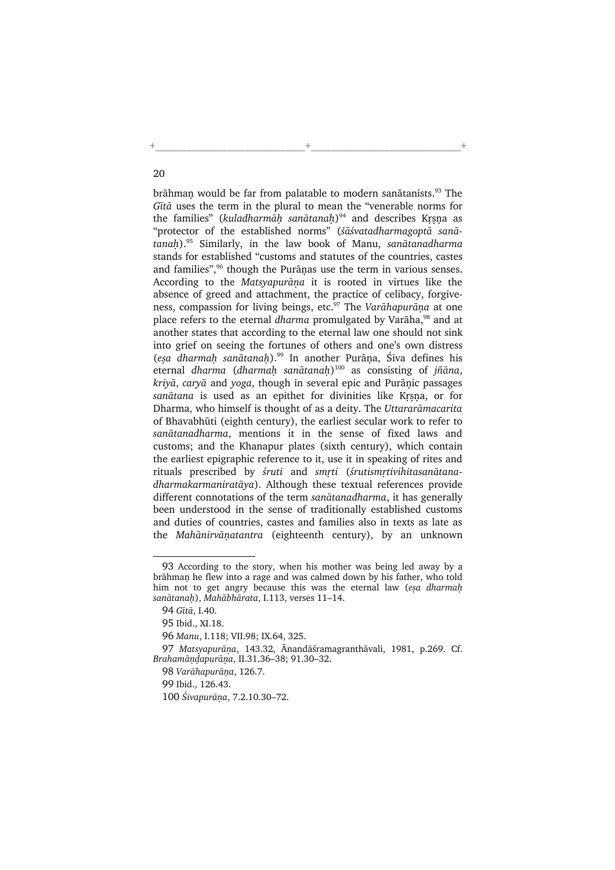brāhmaņ would be far from palatable to modern sanātanists.<sup>93</sup> The Gītā uses the term in the plural to mean the "venerable norms for the families" (kuladharmāḥ sanātanaḥ)<sup>94</sup> and describes Kṛṣṇa as "protector of the established norms" (śāśvatadharmagoptā sanā $t$ anah).<sup>95</sup> Similarly, in the law book of Manu, sanātanadharma stands for established "customs and statutes of the countries, castes and families", $96$  though the Purānas use the term in various senses. According to the Matsyapurāna it is rooted in virtues like the absence of greed and attachment, the practice of celibacy, forgiveness, compassion for living beings, etc.<sup>97</sup> The Varāhapurāņa at one place refers to the eternal dharma promulgated by Varāha,<sup>98</sup> and at another states that according to the eternal law one should not sink into grief on seeing the fortunes of others and one's own distress (esa dharmah sanātanah).<sup>99</sup> In another Purāna, Śiva defines his eternal dharma (dharmaḥ sanātanaḥ)<sup>100</sup> as consisting of jñāna,  $kriy\bar{a}$ , cary $\bar{a}$  and yoga, though in several epic and Purānic passages sanātana is used as an epithet for divinities like Krsna, or for Dharma, who himself is thought of as a deity. The Uttararāmacarita of Bhavabhūti (eighth century), the earliest secular work to refer to sanātanadharma, mentions it in the sense of fixed laws and customs; and the Khanapur plates (sixth century), which contain the earliest epigraphic reference to it, use it in speaking of rites and rituals prescribed by śruti and smrti (śrutismrtivihitasanātanadharmakarmaniratāya). Although these textual references provide different connotations of the term sanātanadharma, it has generally been understood in the sense of traditionally established customs and duties of countries, castes and families also in texts as late as the Mahānirvāṇatantra (eighteenth century), by an unknown

+\_\_\_\_\_\_\_\_\_\_\_\_\_\_\_\_\_\_\_\_\_\_\_\_\_\_+\_\_\_\_\_\_\_\_\_\_\_\_\_\_\_\_\_\_\_\_\_\_\_\_\_\_+

<sup>93</sup> According to the story, when his mother was being led away by a brāhman he flew into a rage and was calmed down by his father, who told him not to get angry because this was the eternal law (esa dharmah sanātanah), Mahābhārata, I.113, verses 11–14.

<sup>94</sup> Gītā, I.40.

<sup>95</sup> Ibid., XI.18.

<sup>96</sup> Manu, I.118; VII.98; IX.64, 325.

<sup>97</sup> Matsyapurāņa, 143.32, Ānandāśramagranthāvali, 1981, p.269. Cf. Brahamāndapurāna, II.31.36-38; 91.30-32.

<sup>98</sup> Varāhapurāna, 126.7.

<sup>99</sup> Ibid., 126.43.

<sup>100</sup> Śivapurāņa, 7.2.10.30-72.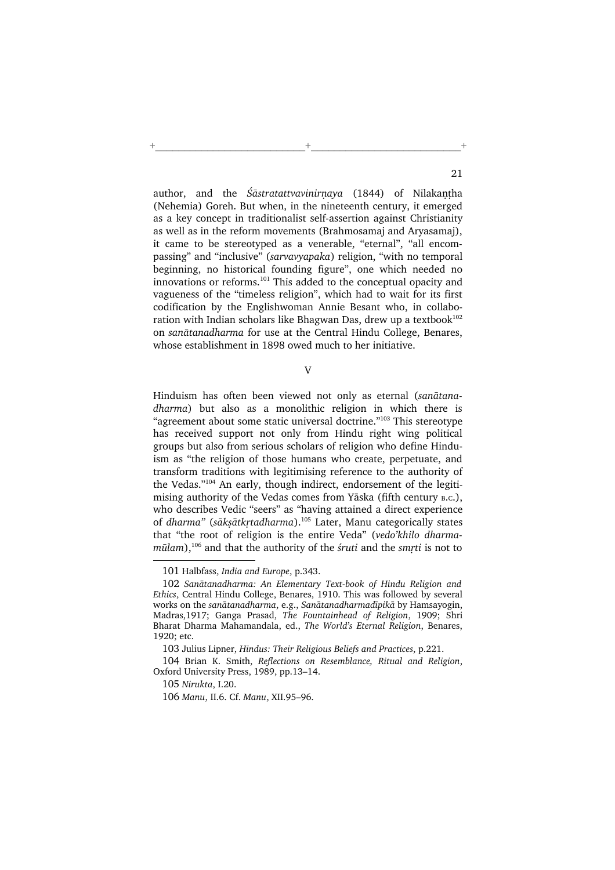author, and the  $\dot{S}$ astratattvavinirnaya (1844) of Nilakantha (Nehemia) Goreh. But when, in the nineteenth century, it emerged as a key concept in traditionalist self-assertion against Christianity as well as in the reform movements (Brahmosamaj and Aryasamaj), it came to be stereotyped as a venerable, "eternal", "all encompassing" and "inclusive" (sarvavyapaka) religion, "with no temporal beginning, no historical founding figure", one which needed no innovations or reforms.<sup>101</sup> This added to the conceptual opacity and vagueness of the "timeless religion", which had to wait for its first codification by the Englishwoman Annie Besant who, in collaboration with Indian scholars like Bhagwan Das, drew up a textbook $102$ on sanātanadharma for use at the Central Hindu College, Benares, whose establishment in 1898 owed much to her initiative.

+\_\_\_\_\_\_\_\_\_\_\_\_\_\_\_\_\_\_\_\_\_\_\_\_\_\_+\_\_\_\_\_\_\_\_\_\_\_\_\_\_\_\_\_\_\_\_\_\_\_\_\_\_+

V

Hinduism has often been viewed not only as eternal (sanātanadharma) but also as a monolithic religion in which there is "agreement about some static universal doctrine."<sup>103</sup> This stereotype has received support not only from Hindu right wing political groups but also from serious scholars of religion who define Hinduism as "the religion of those humans who create, perpetuate, and transform traditions with legitimising reference to the authority of the Vedas."<sup>104</sup> An early, though indirect, endorsement of the legitimising authority of the Vedas comes from Yāska (fifth century <sup>B</sup>.C.), who describes Vedic "seers" as "having attained a direct experience of dharma" (sāksātkrtadharma).<sup>105</sup> Later, Manu categorically states that "the root of religion is the entire Veda" (vedo'khilo dharma $m\bar{u}$ lam),<sup>106</sup> and that the authority of the *śruti* and the *smrti* is not to

<sup>101</sup> Halbfass, India and Europe, p.343.

<sup>102</sup> Sanātanadharma: An Elementary Text-book of Hindu Religion and Ethics, Central Hindu College, Benares, 1910. This was followed by several works on the sanātanadharma, e.g., Sanātanadharmadīpikā by Hamsayogin, Madras,1917; Ganga Prasad, The Fountainhead of Religion, 1909; Shri Bharat Dharma Mahamandala, ed., The World's Eternal Religion, Benares, 1920; etc.

<sup>103</sup> Julius Lipner, Hindus: Their Religious Beliefs and Practices, p.221.

<sup>104</sup> Brian K. Smith, Reflections on Resemblance, Ritual and Religion, Oxford University Press, 1989, pp.13–14.

<sup>105</sup> Nirukta, I.20.

<sup>106</sup> Manu, II.6. Cf. Manu, XII.95–96.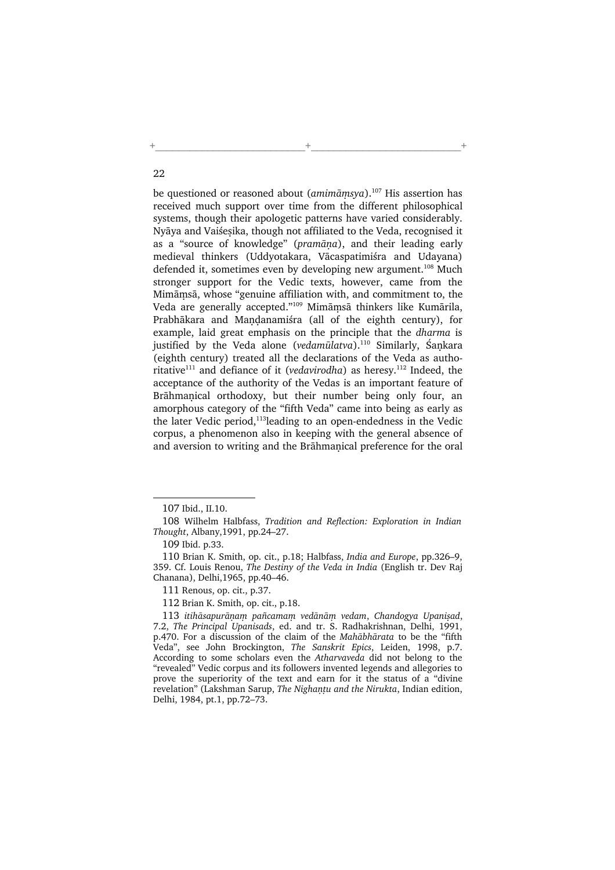be questioned or reasoned about ( $amimāmsva$ ).<sup>107</sup> His assertion has received much support over time from the different philosophical systems, though their apologetic patterns have varied considerably. Nyāya and Vaiśesika, though not affiliated to the Veda, recognised it as a "source of knowledge" (pramāņa), and their leading early medieval thinkers (Uddyotakara, Vācaspatimiśra and Udayana) defended it, sometimes even by developing new argument.<sup>108</sup> Much stronger support for the Vedic texts, however, came from the Mimāmsā, whose "genuine affiliation with, and commitment to, the Veda are generally accepted."<sup>109</sup> Mimāmsā thinkers like Kumārila, Prabhākara and Mandanamiśra (all of the eighth century), for example, laid great emphasis on the principle that the dharma is justified by the Veda alone (vedamūlatva).<sup>110</sup> Similarly, Śankara (eighth century) treated all the declarations of the Veda as authoritative<sup>111</sup> and defiance of it (vedavirodha) as heresy.<sup>112</sup> Indeed, the acceptance of the authority of the Vedas is an important feature of Brāhmanical orthodoxy, but their number being only four, an amorphous category of the "fifth Veda" came into being as early as the later Vedic period,<sup>113</sup>leading to an open-endedness in the Vedic corpus, a phenomenon also in keeping with the general absence of and aversion to writing and the Brāhmanical preference for the oral

+\_\_\_\_\_\_\_\_\_\_\_\_\_\_\_\_\_\_\_\_\_\_\_\_\_\_+\_\_\_\_\_\_\_\_\_\_\_\_\_\_\_\_\_\_\_\_\_\_\_\_\_\_+

<sup>107</sup> Ibid., II.10.

<sup>108</sup> Wilhelm Halbfass, Tradition and Reflection: Exploration in Indian Thought, Albany,1991, pp.24–27.

<sup>109</sup> Ibid. p.33.

<sup>110</sup> Brian K. Smith, op. cit., p.18; Halbfass, India and Europe, pp.326–9, 359. Cf. Louis Renou, The Destiny of the Veda in India (English tr. Dev Raj Chanana), Delhi,1965, pp.40–46.

<sup>111</sup> Renous, op. cit., p.37.

<sup>112</sup> Brian K. Smith, op. cit., p.18.

<sup>113</sup> itihāsapurāņam pañcamam vedānām vedam, Chandogya Upanisad, 7.2, The Principal Upanisads, ed. and tr. S. Radhakrishnan, Delhi, 1991, p.470. For a discussion of the claim of the Mahābhārata to be the "fifth Veda", see John Brockington, The Sanskrit Epics, Leiden, 1998, p.7. According to some scholars even the Atharvaveda did not belong to the "revealed" Vedic corpus and its followers invented legends and allegories to prove the superiority of the text and earn for it the status of a "divine revelation" (Lakshman Sarup, The Nighantu and the Nirukta, Indian edition, Delhi, 1984, pt.1, pp.72–73.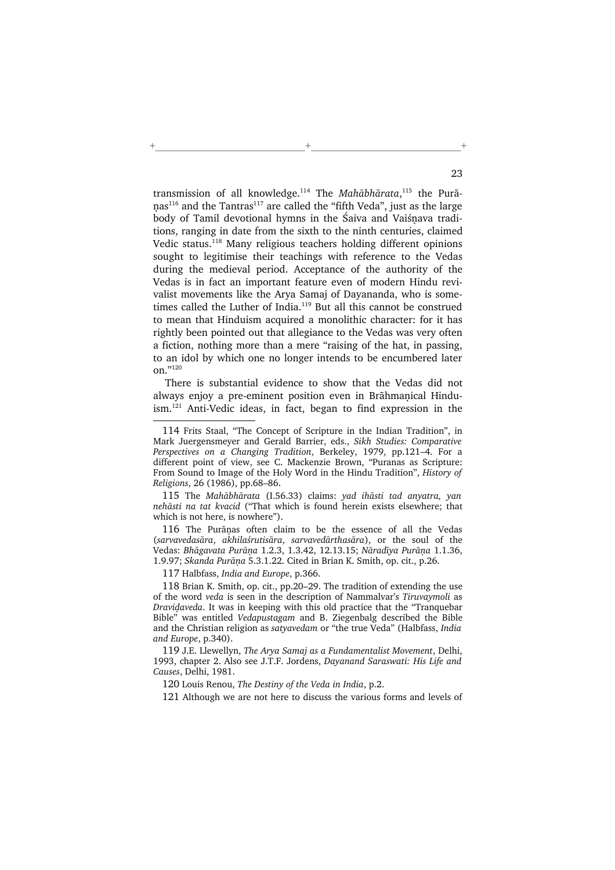transmission of all knowledge.<sup>114</sup> The Mahābhārata,<sup>115</sup> the Purā $nas<sup>116</sup>$  and the Tantras<sup>117</sup> are called the "fifth Veda", just as the large body of Tamil devotional hymns in the Śaiva and Vaiśnava traditions, ranging in date from the sixth to the ninth centuries, claimed Vedic status.<sup>118</sup> Many religious teachers holding different opinions sought to legitimise their teachings with reference to the Vedas during the medieval period. Acceptance of the authority of the Vedas is in fact an important feature even of modern Hindu revivalist movements like the Arya Samaj of Dayananda, who is sometimes called the Luther of India.<sup>119</sup> But all this cannot be construed to mean that Hinduism acquired a monolithic character: for it has rightly been pointed out that allegiance to the Vedas was very often a fiction, nothing more than a mere "raising of the hat, in passing, to an idol by which one no longer intends to be encumbered later on."120

+\_\_\_\_\_\_\_\_\_\_\_\_\_\_\_\_\_\_\_\_\_\_\_\_\_\_+\_\_\_\_\_\_\_\_\_\_\_\_\_\_\_\_\_\_\_\_\_\_\_\_\_\_+

There is substantial evidence to show that the Vedas did not always enjoy a pre-eminent position even in Brāhmaṇical Hinduism.<sup>121</sup> Anti-Vedic ideas, in fact, began to find expression in the

115 The Mahābhārata (I.56.33) claims: yad ihāsti tad anyatra, yan nehāsti na tat kvacid ("That which is found herein exists elsewhere; that which is not here, is nowhere").

116 The Purānas often claim to be the essence of all the Vedas (sarvavedasāra, akhilaśrutisāra, sarvavedārthasāra), or the soul of the Vedas: Bhāgavata Purāna 1.2.3, 1.3.42, 12.13.15; Nāradīya Purāna 1.1.36, 1.9.97; Skanda Purāņa 5.3.1.22. Cited in Brian K. Smith, op. cit., p.26.

117 Halbfass, India and Europe, p.366.

118 Brian K. Smith, op. cit., pp.20–29. The tradition of extending the use of the word veda is seen in the description of Nammalvar's Tiruvaymoli as Dravidaveda. It was in keeping with this old practice that the "Tranquebar Bible" was entitled Vedapustagam and B. Ziegenbalg described the Bible and the Christian religion as satyavedam or "the true Veda" (Halbfass, India and Europe, p.340).

119 J.E. Llewellyn, The Arya Samaj as a Fundamentalist Movement, Delhi, 1993, chapter 2. Also see J.T.F. Jordens, Dayanand Saraswati: His Life and Causes, Delhi, 1981.

120 Louis Renou, The Destiny of the Veda in India, p.2.

121 Although we are not here to discuss the various forms and levels of

<sup>114</sup> Frits Staal, "The Concept of Scripture in the Indian Tradition", in Mark Juergensmeyer and Gerald Barrier, eds., Sikh Studies: Comparative Perspectives on a Changing Tradition, Berkeley, 1979, pp.121–4. For a different point of view, see C. Mackenzie Brown, "Puranas as Scripture: From Sound to Image of the Holy Word in the Hindu Tradition", History of Religions, 26 (1986), pp.68–86.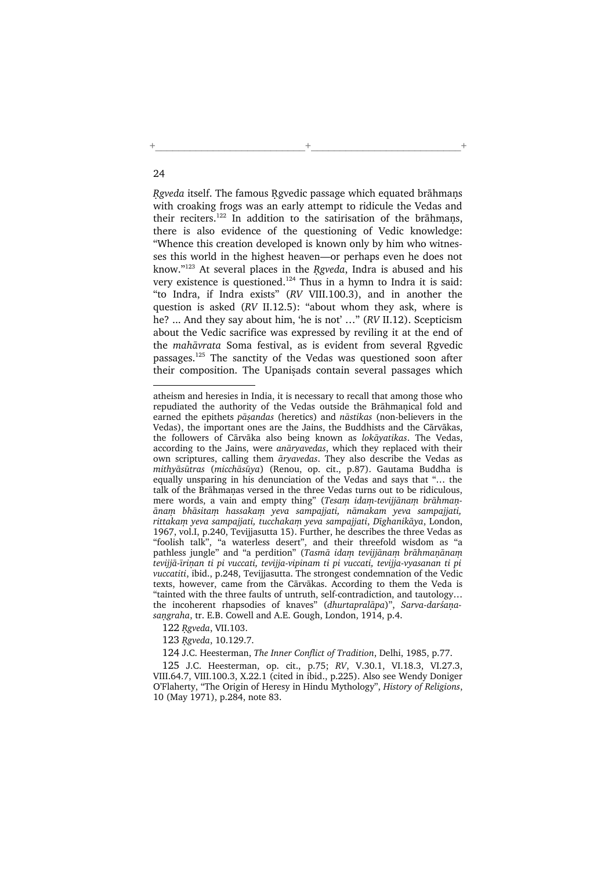Rgveda itself. The famous Rgvedic passage which equated brāhmans with croaking frogs was an early attempt to ridicule the Vedas and their reciters.<sup>122</sup> In addition to the satirisation of the brāhmans, there is also evidence of the questioning of Vedic knowledge: "Whence this creation developed is known only by him who witnesses this world in the highest heaven—or perhaps even he does not know." $123$  At several places in the Rgveda, Indra is abused and his very existence is questioned.<sup>124</sup> Thus in a hymn to Indra it is said: "to Indra, if Indra exists" (RV VIII.100.3), and in another the question is asked (RV II.12.5): "about whom they ask, where is he? ... And they say about him, 'he is not' …" (RV II.12). Scepticism about the Vedic sacrifice was expressed by reviling it at the end of the mahāvrata Soma festival, as is evident from several Ngvedic passages.<sup>125</sup> The sanctity of the Vedas was questioned soon after their composition. The Upanisads contain several passages which

+\_\_\_\_\_\_\_\_\_\_\_\_\_\_\_\_\_\_\_\_\_\_\_\_\_\_+\_\_\_\_\_\_\_\_\_\_\_\_\_\_\_\_\_\_\_\_\_\_\_\_\_\_+

122 Rgveda, VII.103.

123 Rgveda, 10.129.7.

124 J.C. Heesterman, The Inner Conflict of Tradition, Delhi, 1985, p.77.

125 J.C. Heesterman, op. cit., p.75; RV, V.30.1, VI.18.3, VI.27.3, VIII.64.7, VIII.100.3, X.22.1 (cited in ibid., p.225). Also see Wendy Doniger O'Flaherty, "The Origin of Heresy in Hindu Mythology", History of Religions, 10 (May 1971), p.284, note 83.

atheism and heresies in India, it is necessary to recall that among those who repudiated the authority of the Vedas outside the Brāhmanical fold and earned the epithets pāsandas (heretics) and nāstikas (non-believers in the Vedas), the important ones are the Jains, the Buddhists and the Cārvākas, the followers of Cārvāka also being known as lokāyatikas. The Vedas, according to the Jains, were anāryavedas, which they replaced with their own scriptures, calling them āryavedas. They also describe the Vedas as mithyāsūtras (micchāsūya) (Renou, op. cit., p.87). Gautama Buddha is equally unsparing in his denunciation of the Vedas and says that "… the talk of the Brāhmanas versed in the three Vedas turns out to be ridiculous, mere words, a vain and empty thing" (Tesam idam-tevijjānam brāhmaņānam bhāsitam hassakam yeva sampajjati, nāmakam yeva sampajjati, rittakam yeva sampajjati, tucchakam yeva sampajjati, Dīghanikāya, London, 1967, vol.I, p.240, Tevijjasutta 15). Further, he describes the three Vedas as "foolish talk", "a waterless desert", and their threefold wisdom as "a pathless jungle" and "a perdition" (Tasmā idam tevijjānam brāhmanānam tevijjā-īrinan ti pi vuccati, tevijja-vipinam ti pi vuccati, tevijja-vyasanan ti pi vuccatiti, ibid., p.248, Tevijjasutta. The strongest condemnation of the Vedic texts, however, came from the Cārvākas. According to them the Veda is "tainted with the three faults of untruth, self-contradiction, and tautology… the incoherent rhapsodies of knaves" (dhurtapralāpa)", Sarva-darśaņasangraha, tr. E.B. Cowell and A.E. Gough, London, 1914, p.4.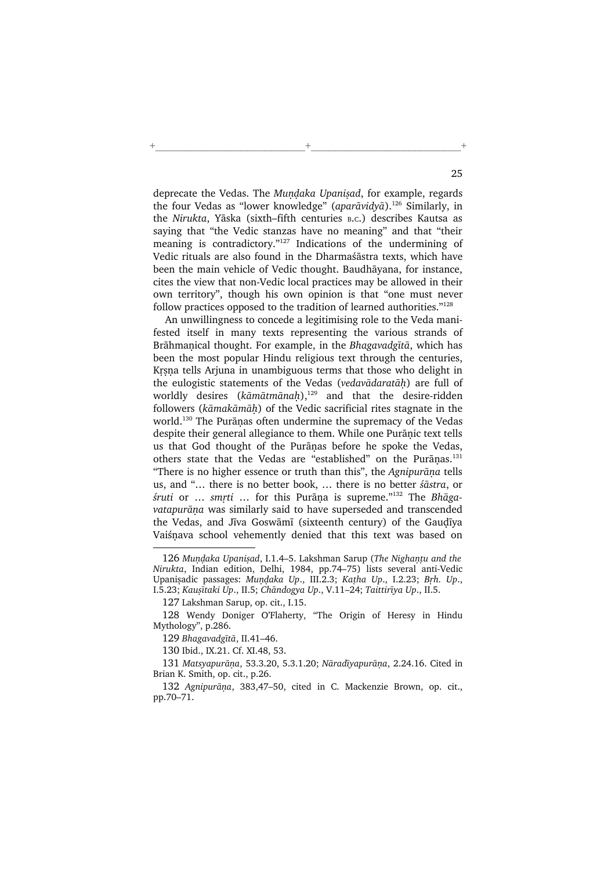deprecate the Vedas. The Mundaka Upanisad, for example, regards the four Vedas as "lower knowledge" (aparāvidvā).<sup>126</sup> Similarly, in the Nirukta, Yāska (sixth–fifth centuries <sup>B</sup>.C.) describes Kautsa as saying that "the Vedic stanzas have no meaning" and that "their meaning is contradictory."<sup>127</sup> Indications of the undermining of Vedic rituals are also found in the Dharmaśāstra texts, which have been the main vehicle of Vedic thought. Baudhāyana, for instance, cites the view that non-Vedic local practices may be allowed in their own territory", though his own opinion is that "one must never follow practices opposed to the tradition of learned authorities."<sup>128</sup>

+\_\_\_\_\_\_\_\_\_\_\_\_\_\_\_\_\_\_\_\_\_\_\_\_\_\_+\_\_\_\_\_\_\_\_\_\_\_\_\_\_\_\_\_\_\_\_\_\_\_\_\_\_+

An unwillingness to concede a legitimising role to the Veda manifested itself in many texts representing the various strands of Brāhmanical thought. For example, in the Bhagavadgītā, which has been the most popular Hindu religious text through the centuries, Krsna tells Arjuna in unambiguous terms that those who delight in the eulogistic statements of the Vedas (vedavādaratāh) are full of worldly desires ( $k\bar{a}$ mātmānah),<sup>129</sup> and that the desire-ridden followers (kāmakāmāh) of the Vedic sacrificial rites stagnate in the world.<sup>130</sup> The Purānas often undermine the supremacy of the Vedas despite their general allegiance to them. While one Purānic text tells us that God thought of the Purānas before he spoke the Vedas, others state that the Vedas are "established" on the Purānas.<sup>131</sup> "There is no higher essence or truth than this", the Agnipurāna tells us, and "… there is no better book, … there is no better śāstra, or śruti or ... smrti ... for this Purāņa is supreme."132 The Bhāgavatapurāna was similarly said to have superseded and transcended the Vedas, and Jīva Goswāmī (sixteenth century) of the Gaudīya Vaiśnava school vehemently denied that this text was based on

<sup>126</sup> Mundaka Upanisad, I.1.4–5. Lakshman Sarup (The Nighantu and the Nirukta, Indian edition, Delhi, 1984, pp.74–75) lists several anti-Vedic Upanisadic passages: Mundaka Up., III.2.3; Katha Up., I.2.23; Brh. Up., I.5.23; Kaușītaki Up., II.5; Chāndogya Up., V.11–24; Taittirīya Up., II.5.

<sup>127</sup> Lakshman Sarup, op. cit., I.15.

<sup>128</sup> Wendy Doniger O'Flaherty, "The Origin of Heresy in Hindu Mythology", p.286.

<sup>129</sup> Bhagavadgītā, II.41–46.

<sup>130</sup> Ibid., IX.21. Cf. XI.48, 53.

<sup>131</sup> Matsyapurāna, 53.3.20, 5.3.1.20; Nāradīyapurāna, 2.24.16. Cited in Brian K. Smith, op. cit., p.26.

<sup>132</sup> Agnipurāna, 383,47–50, cited in C. Mackenzie Brown, op. cit., pp.70–71.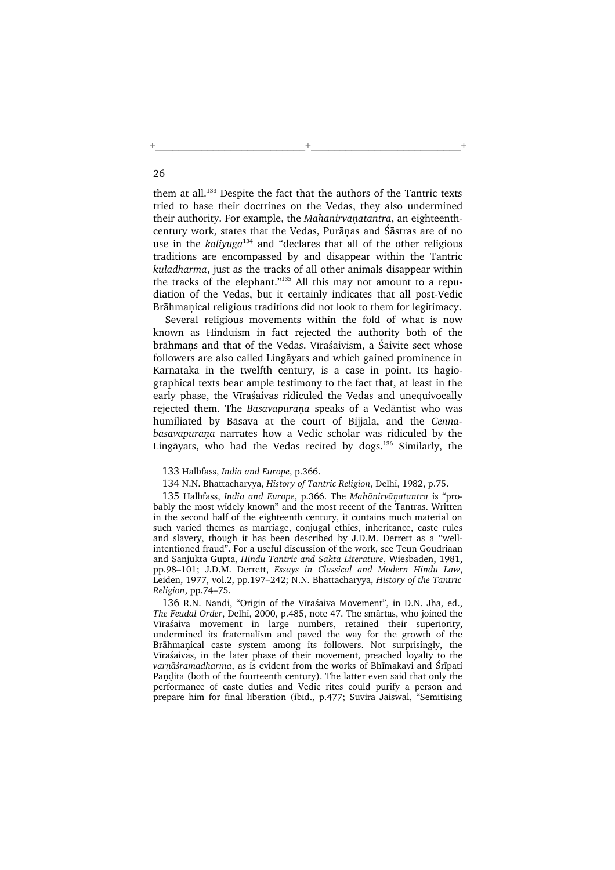them at all.<sup>133</sup> Despite the fact that the authors of the Tantric texts tried to base their doctrines on the Vedas, they also undermined their authority. For example, the Mahānirvāṇatantra, an eighteenthcentury work, states that the Vedas, Purānas and Śāstras are of no use in the kaliyuga<sup>134</sup> and "declares that all of the other religious traditions are encompassed by and disappear within the Tantric kuladharma, just as the tracks of all other animals disappear within the tracks of the elephant."<sup>135</sup> All this may not amount to a repudiation of the Vedas, but it certainly indicates that all post-Vedic Brāhmanical religious traditions did not look to them for legitimacy.

+\_\_\_\_\_\_\_\_\_\_\_\_\_\_\_\_\_\_\_\_\_\_\_\_\_\_+\_\_\_\_\_\_\_\_\_\_\_\_\_\_\_\_\_\_\_\_\_\_\_\_\_\_+

Several religious movements within the fold of what is now known as Hinduism in fact rejected the authority both of the brāhmans and that of the Vedas. Vīraśaivism, a Śaivite sect whose followers are also called Lingāyats and which gained prominence in Karnataka in the twelfth century, is a case in point. Its hagiographical texts bear ample testimony to the fact that, at least in the early phase, the Vīraśaivas ridiculed the Vedas and unequivocally rejected them. The Bāsavapurāna speaks of a Vedāntist who was humiliated by Bāsava at the court of Bijjala, and the Cennabāsavapurāna narrates how a Vedic scholar was ridiculed by the Lingāyats, who had the Vedas recited by dogs.<sup>136</sup> Similarly, the

<sup>133</sup> Halbfass, India and Europe, p.366.

<sup>134</sup> N.N. Bhattacharyya, History of Tantric Religion, Delhi, 1982, p.75.

<sup>135</sup> Halbfass, India and Europe, p.366. The Mahānirvānatantra is "probably the most widely known" and the most recent of the Tantras. Written in the second half of the eighteenth century, it contains much material on such varied themes as marriage, conjugal ethics, inheritance, caste rules and slavery, though it has been described by J.D.M. Derrett as a "wellintentioned fraud". For a useful discussion of the work, see Teun Goudriaan and Sanjukta Gupta, Hindu Tantric and Sakta Literature, Wiesbaden, 1981, pp.98–101; J.D.M. Derrett, Essays in Classical and Modern Hindu Law, Leiden, 1977, vol.2, pp.197–242; N.N. Bhattacharyya, History of the Tantric Religion, pp.74–75.

<sup>136</sup> R.N. Nandi, "Origin of the Vīraśaiva Movement", in D.N. Jha, ed., The Feudal Order, Delhi, 2000, p.485, note 47. The smārtas, who joined the Vīraśaiva movement in large numbers, retained their superiority, undermined its fraternalism and paved the way for the growth of the Brāhmanical caste system among its followers. Not surprisingly, the Vīraśaivas, in the later phase of their movement, preached loyalty to the varnāśramadharma, as is evident from the works of Bhīmakavi and Śrīpati Pandita (both of the fourteenth century). The latter even said that only the performance of caste duties and Vedic rites could purify a person and prepare him for final liberation (ibid., p.477; Suvira Jaiswal, "Semitising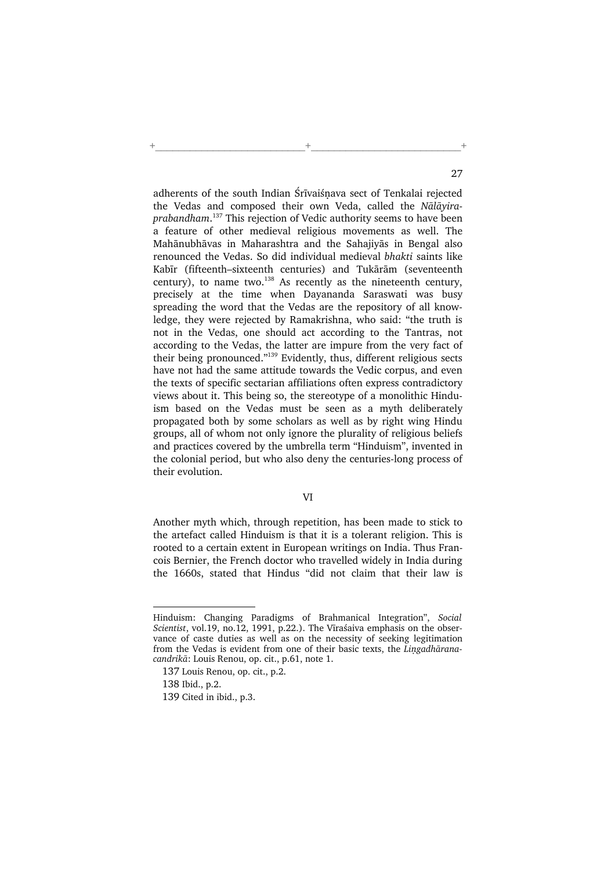adherents of the south Indian Śrīvaiśnava sect of Tenkalai rejected the Vedas and composed their own Veda, called the Nālāyiraprabandham. <sup>137</sup> This rejection of Vedic authority seems to have been a feature of other medieval religious movements as well. The Mahānubhāvas in Maharashtra and the Sahajiyās in Bengal also renounced the Vedas. So did individual medieval bhakti saints like Kabīr (fifteenth–sixteenth centuries) and Tukārām (seventeenth century), to name two.<sup>138</sup> As recently as the nineteenth century, precisely at the time when Dayananda Saraswati was busy spreading the word that the Vedas are the repository of all knowledge, they were rejected by Ramakrishna, who said: "the truth is not in the Vedas, one should act according to the Tantras, not according to the Vedas, the latter are impure from the very fact of their being pronounced."<sup>139</sup> Evidently, thus, different religious sects have not had the same attitude towards the Vedic corpus, and even the texts of specific sectarian affiliations often express contradictory views about it. This being so, the stereotype of a monolithic Hinduism based on the Vedas must be seen as a myth deliberately propagated both by some scholars as well as by right wing Hindu groups, all of whom not only ignore the plurality of religious beliefs and practices covered by the umbrella term "Hinduism", invented in the colonial period, but who also deny the centuries-long process of their evolution.

+\_\_\_\_\_\_\_\_\_\_\_\_\_\_\_\_\_\_\_\_\_\_\_\_\_\_+\_\_\_\_\_\_\_\_\_\_\_\_\_\_\_\_\_\_\_\_\_\_\_\_\_\_+

Another myth which, through repetition, has been made to stick to the artefact called Hinduism is that it is a tolerant religion. This is rooted to a certain extent in European writings on India. Thus Francois Bernier, the French doctor who travelled widely in India during the 1660s, stated that Hindus "did not claim that their law is

Hinduism: Changing Paradigms of Brahmanical Integration", Social Scientist, vol.19, no.12, 1991, p.22.). The Vīraśaiva emphasis on the observance of caste duties as well as on the necessity of seeking legitimation from the Vedas is evident from one of their basic texts, the Lingadhāranacandrikā: Louis Renou, op. cit., p.61, note 1.

<sup>137</sup> Louis Renou, op. cit., p.2.

<sup>138</sup> Ibid., p.2.

<sup>139</sup> Cited in ibid., p.3.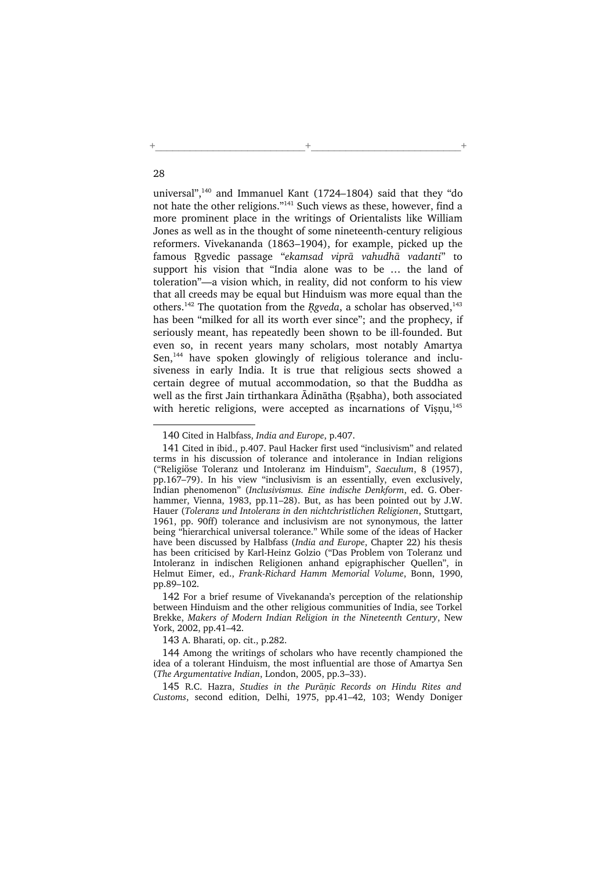universal",<sup>140</sup> and Immanuel Kant (1724–1804) said that they "do not hate the other religions."<sup>141</sup> Such views as these, however, find a more prominent place in the writings of Orientalists like William Jones as well as in the thought of some nineteenth-century religious reformers. Vivekananda (1863–1904), for example, picked up the famous Ngvedic passage "ekamsad viprā vahudhā vadanti" to support his vision that "India alone was to be … the land of toleration"—a vision which, in reality, did not conform to his view that all creeds may be equal but Hinduism was more equal than the others.<sup>142</sup> The quotation from the Rgveda, a scholar has observed,<sup>143</sup> has been "milked for all its worth ever since"; and the prophecy, if seriously meant, has repeatedly been shown to be ill-founded. But even so, in recent years many scholars, most notably Amartya Sen,<sup>144</sup> have spoken glowingly of religious tolerance and inclusiveness in early India. It is true that religious sects showed a certain degree of mutual accommodation, so that the Buddha as well as the first Jain tirthankara Ādinātha (Rsabha), both associated with heretic religions, were accepted as incarnations of Visnu, $145$ 

+\_\_\_\_\_\_\_\_\_\_\_\_\_\_\_\_\_\_\_\_\_\_\_\_\_\_+\_\_\_\_\_\_\_\_\_\_\_\_\_\_\_\_\_\_\_\_\_\_\_\_\_\_+

143 A. Bharati, op. cit., p.282.

144 Among the writings of scholars who have recently championed the idea of a tolerant Hinduism, the most influential are those of Amartya Sen (The Argumentative Indian, London, 2005, pp.3–33).

145 R.C. Hazra, Studies in the Purānic Records on Hindu Rites and Customs, second edition, Delhi, 1975, pp.41–42, 103; Wendy Doniger

<sup>140</sup> Cited in Halbfass, India and Europe, p.407.

<sup>141</sup> Cited in ibid., p.407. Paul Hacker first used "inclusivism" and related terms in his discussion of tolerance and intolerance in Indian religions ("Religiöse Toleranz und Intoleranz im Hinduism", Saeculum, 8 (1957), pp.167–79). In his view "inclusivism is an essentially, even exclusively, Indian phenomenon" (Inclusivismus. Eine indische Denkform, ed. G. Oberhammer, Vienna, 1983, pp.11–28). But, as has been pointed out by J.W. Hauer (Toleranz und Intoleranz in den nichtchristlichen Religionen, Stuttgart, 1961, pp. 90ff) tolerance and inclusivism are not synonymous, the latter being "hierarchical universal tolerance." While some of the ideas of Hacker have been discussed by Halbfass (India and Europe, Chapter 22) his thesis has been criticised by Karl-Heinz Golzio ("Das Problem von Toleranz und Intoleranz in indischen Religionen anhand epigraphischer Quellen", in Helmut Eimer, ed., Frank-Richard Hamm Memorial Volume, Bonn, 1990, pp.89–102.

<sup>142</sup> For a brief resume of Vivekananda's perception of the relationship between Hinduism and the other religious communities of India, see Torkel Brekke, Makers of Modern Indian Religion in the Nineteenth Century, New York, 2002, pp.41–42.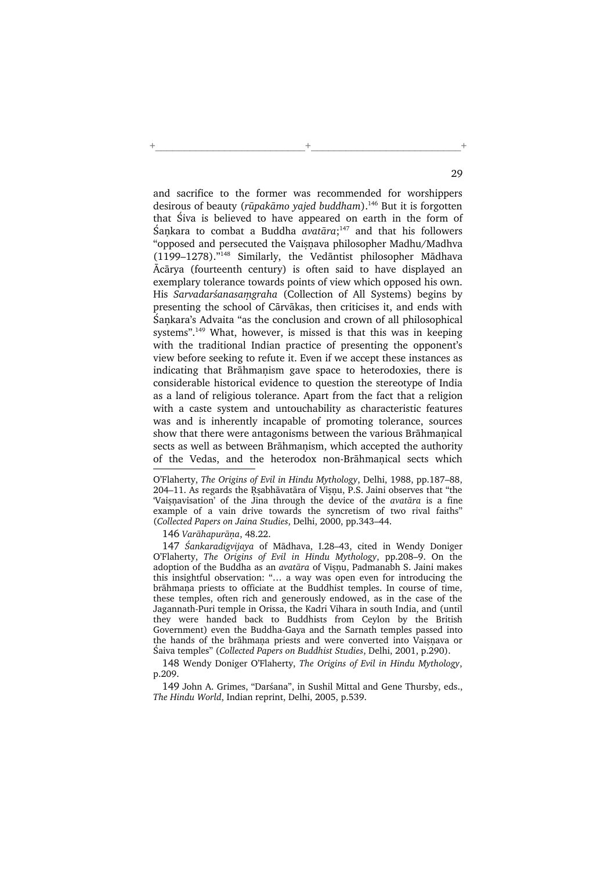and sacrifice to the former was recommended for worshippers desirous of beauty (rūpakāmo vajed buddham).<sup>146</sup> But it is forgotten that Śiva is believed to have appeared on earth in the form of Saṇkara to combat a Buddha avatāra; $147$  and that his followers "opposed and persecuted the Vaisnava philosopher Madhu/Madhva (1199–1278)."<sup>148</sup> Similarly, the Vedāntist philosopher Mādhava Ācārya (fourteenth century) is often said to have displayed an exemplary tolerance towards points of view which opposed his own. His Sarvadarśanasamgraha (Collection of All Systems) begins by presenting the school of Cārvākas, then criticises it, and ends with Śankara's Advaita "as the conclusion and crown of all philosophical systems".<sup>149</sup> What, however, is missed is that this was in keeping with the traditional Indian practice of presenting the opponent's view before seeking to refute it. Even if we accept these instances as indicating that Brāhmanism gave space to heterodoxies, there is considerable historical evidence to question the stereotype of India as a land of religious tolerance. Apart from the fact that a religion with a caste system and untouchability as characteristic features was and is inherently incapable of promoting tolerance, sources show that there were antagonisms between the various Brāhmanical sects as well as between Brāhmanism, which accepted the authority of the Vedas, and the heterodox non-Brāhmanical sects which

+\_\_\_\_\_\_\_\_\_\_\_\_\_\_\_\_\_\_\_\_\_\_\_\_\_\_+\_\_\_\_\_\_\_\_\_\_\_\_\_\_\_\_\_\_\_\_\_\_\_\_\_\_+

146 Varāhapurāna, 48.22.

147 Śankaradigvijaya of Mādhava, I.28–43, cited in Wendy Doniger O'Flaherty, The Origins of Evil in Hindu Mythology, pp.208–9. On the adoption of the Buddha as an avatāra of Viṣṇu, Padmanabh S. Jaini makes this insightful observation: "… a way was open even for introducing the brāhmana priests to officiate at the Buddhist temples. In course of time, these temples, often rich and generously endowed, as in the case of the Jagannath-Puri temple in Orissa, the Kadri Vihara in south India, and (until they were handed back to Buddhists from Ceylon by the British Government) even the Buddha-Gaya and the Sarnath temples passed into the hands of the brāhmana priests and were converted into Vaisnava or Śaiva temples" (Collected Papers on Buddhist Studies, Delhi, 2001, p.290).

148 Wendy Doniger O'Flaherty, The Origins of Evil in Hindu Mythology, p.209.

149 John A. Grimes, "Darśana", in Sushil Mittal and Gene Thursby, eds., The Hindu World, Indian reprint, Delhi, 2005, p.539.

O'Flaherty, The Origins of Evil in Hindu Mythology, Delhi, 1988, pp.187–88, 204–11. As regards the Rsabhāvatāra of Visnu, P.S. Jaini observes that "the 'Vaisnavisation' of the Jina through the device of the avatāra is a fine example of a vain drive towards the syncretism of two rival faiths" (Collected Papers on Jaina Studies, Delhi, 2000, pp.343–44.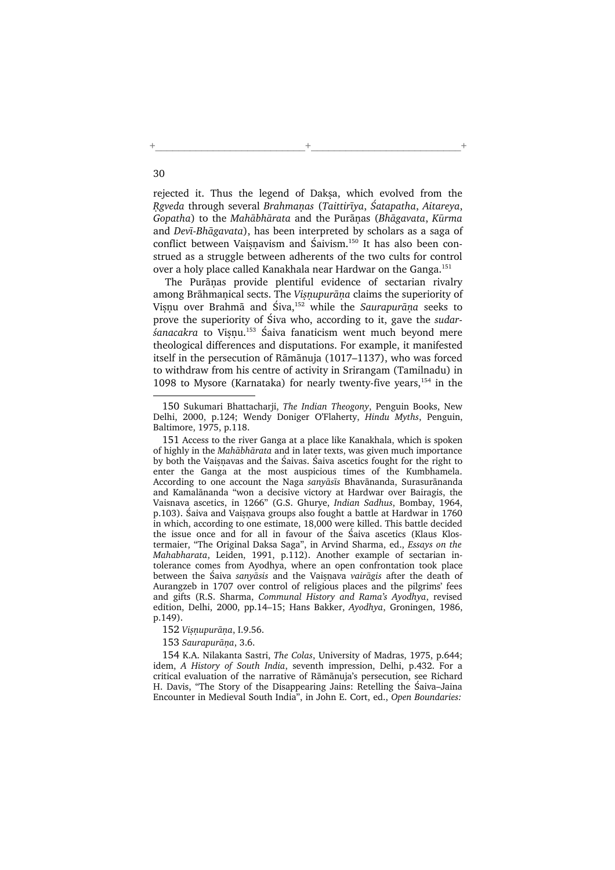rejected it. Thus the legend of Daksa, which evolved from the Reveda through several Brahmanas (Taittirīva, Śatapatha, Aitareya, Gopatha) to the Mahābhārata and the Purāņas (Bhāgavata, Kūrma and Devī-Bhāgavata), has been interpreted by scholars as a saga of conflict between Vaisnavism and  $\acute{S}$ aivism.<sup>150</sup> It has also been construed as a struggle between adherents of the two cults for control over a holy place called Kanakhala near Hardwar on the Ganga.<sup>151</sup>

+\_\_\_\_\_\_\_\_\_\_\_\_\_\_\_\_\_\_\_\_\_\_\_\_\_\_+\_\_\_\_\_\_\_\_\_\_\_\_\_\_\_\_\_\_\_\_\_\_\_\_\_\_+

The Purānas provide plentiful evidence of sectarian rivalry among Brāhmanical sects. The Visnupurāna claims the superiority of Vișņu over Brahmā and Śiva,<sup>152</sup> while the Saurapurāņa seeks to prove the superiority of Śiva who, according to it, gave the sudar- $\frac{1}{6}$  sanacakra to Visnu.<sup>153</sup> Śaiva fanaticism went much beyond mere theological differences and disputations. For example, it manifested itself in the persecution of Rāmānuja (1017–1137), who was forced to withdraw from his centre of activity in Srirangam (Tamilnadu) in 1098 to Mysore (Karnataka) for nearly twenty-five years,  $154$  in the

<sup>150</sup> Sukumari Bhattacharji, The Indian Theogony, Penguin Books, New Delhi, 2000, p.124; Wendy Doniger O'Flaherty, Hindu Myths, Penguin, Baltimore, 1975, p.118.

<sup>151</sup> Access to the river Ganga at a place like Kanakhala, which is spoken of highly in the Mahābhārata and in later texts, was given much importance by both the Vaisnavas and the Śaivas. Śaiva ascetics fought for the right to enter the Ganga at the most auspicious times of the Kumbhamela. According to one account the Naga sanyāsīs Bhavānanda, Surasurānanda and Kamalānanda "won a decisive victory at Hardwar over Bairagis, the Vaisnava ascetics, in 1266" (G.S. Ghurye, Indian Sadhus, Bombay, 1964, p.103). Śaiva and Vaisnava groups also fought a battle at Hardwar in 1760 in which, according to one estimate, 18,000 were killed. This battle decided the issue once and for all in favour of the Śaiva ascetics (Klaus Klostermaier, "The Original Daksa Saga", in Arvind Sharma, ed., Essays on the Mahabharata, Leiden, 1991, p.112). Another example of sectarian intolerance comes from Ayodhya, where an open confrontation took place between the Śaiva sanyāsis and the Vaisnava vairāgis after the death of Aurangzeb in 1707 over control of religious places and the pilgrims' fees and gifts (R.S. Sharma, Communal History and Rama's Ayodhya, revised edition, Delhi, 2000, pp.14–15; Hans Bakker, Ayodhya, Groningen, 1986, p.149).

<sup>152</sup> Visnupurāna, I.9.56.

<sup>153</sup> Saurapurāna, 3.6.

<sup>154</sup> K.A. Nilakanta Sastri, The Colas, University of Madras, 1975, p.644; idem, A History of South India, seventh impression, Delhi, p.432. For a critical evaluation of the narrative of Rāmānuja's persecution, see Richard H. Davis, "The Story of the Disappearing Jains: Retelling the Śaiva–Jaina Encounter in Medieval South India", in John E. Cort, ed., Open Boundaries: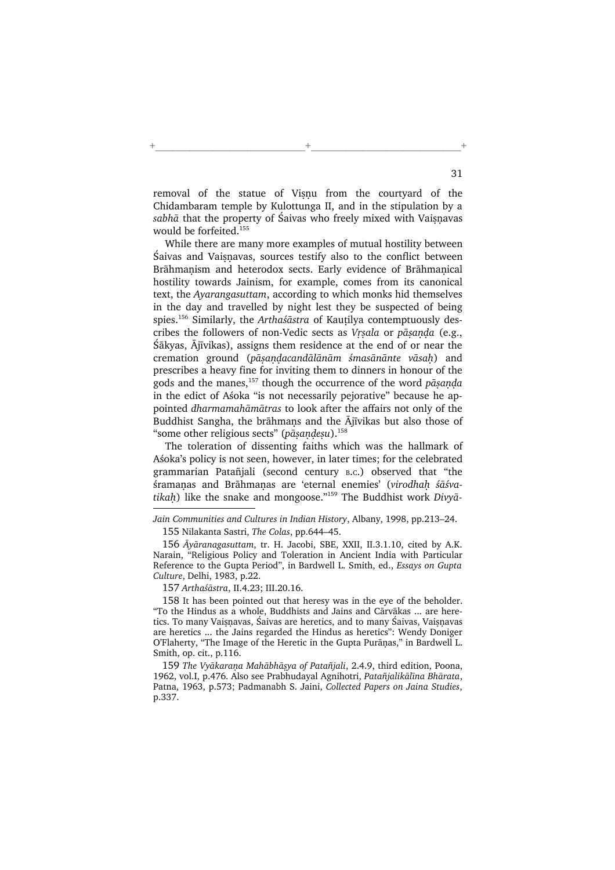removal of the statue of Visnu from the courtyard of the Chidambaram temple by Kulottunga II, and in the stipulation by a sabhā that the property of Saivas who freely mixed with Vaisnavas would be forfeited.<sup>155</sup>

+\_\_\_\_\_\_\_\_\_\_\_\_\_\_\_\_\_\_\_\_\_\_\_\_\_\_+\_\_\_\_\_\_\_\_\_\_\_\_\_\_\_\_\_\_\_\_\_\_\_\_\_\_+

While there are many more examples of mutual hostility between Śaivas and Vaisnavas, sources testify also to the conflict between Brāhmanism and heterodox sects. Early evidence of Brāhmanical hostility towards Jainism, for example, comes from its canonical text, the Ayarangasuttam, according to which monks hid themselves in the day and travelled by night lest they be suspected of being spies.<sup>156</sup> Similarly, the Arthaśāstra of Kautilya contemptuously describes the followers of non-Vedic sects as Vrsala or pāsaņda (e.g., Śākyas, Ājīvikas), assigns them residence at the end of or near the cremation ground (pāsandacandālānām śmasānānte vāsah) and prescribes a heavy fine for inviting them to dinners in honour of the gods and the manes,<sup>157</sup> though the occurrence of the word  $p\bar{a}$ sanda in the edict of Aśoka "is not necessarily pejorative" because he appointed dharmamahāmātras to look after the affairs not only of the Buddhist Sangha, the brāhmans and the Ājīvikas but also those of "some other religious sects" ( $p\bar{a}$ sandesu).<sup>158</sup>

The toleration of dissenting faiths which was the hallmark of Aśoka's policy is not seen, however, in later times; for the celebrated grammarian Patañjali (second century <sup>B</sup>.C.) observed that "the śramanas and Brāhmanas are 'eternal enemies' (virodhah śāśvatikah) like the snake and mongoose."<sup>159</sup> The Buddhist work Divyā-

Jain Communities and Cultures in Indian History, Albany, 1998, pp.213–24.

<sup>155</sup> Nilakanta Sastri, The Colas, pp.644–45.

<sup>156</sup> Āyāranagasuttam, tr. H. Jacobi, SBE, XXII, II.3.1.10, cited by A.K. Narain, "Religious Policy and Toleration in Ancient India with Particular Reference to the Gupta Period", in Bardwell L. Smith, ed., Essays on Gupta Culture, Delhi, 1983, p.22.

<sup>157</sup> Arthaśāstra, II.4.23; III.20.16.

<sup>158</sup> It has been pointed out that heresy was in the eye of the beholder. "To the Hindus as a whole, Buddhists and Jains and Cārvākas ... are heretics. To many Vaisnavas, Śaivas are heretics, and to many Śaivas, Vaisnavas are heretics ... the Jains regarded the Hindus as heretics": Wendy Doniger O'Flaherty, "The Image of the Heretic in the Gupta Purānas," in Bardwell L. Smith, op. cit., p.116.

<sup>159</sup> The Vyākaraņa Mahābhāsya of Patañjali, 2.4.9, third edition, Poona, 1962, vol.I, p.476. Also see Prabhudayal Agnihotri, Patañjalikālīna Bhārata, Patna, 1963, p.573; Padmanabh S. Jaini, Collected Papers on Jaina Studies, p.337.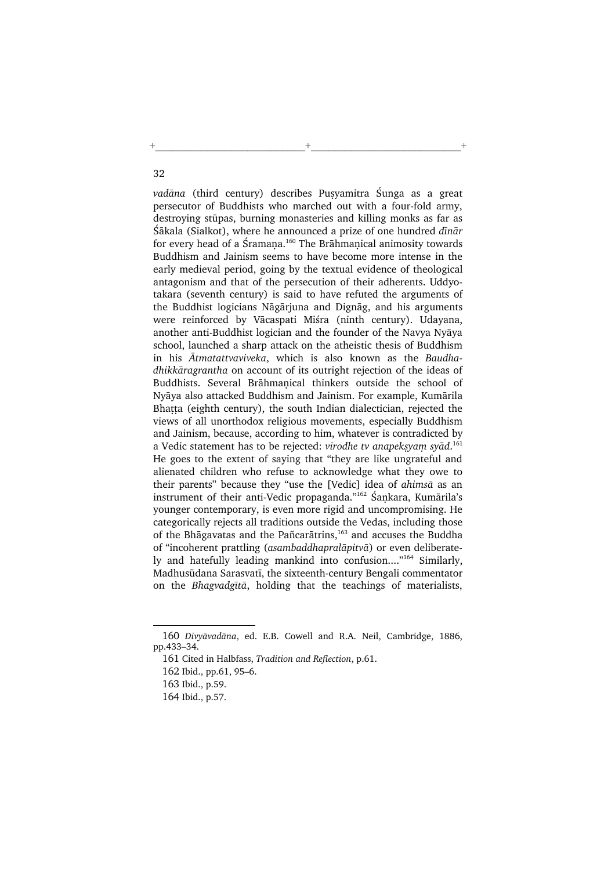$v$ adāna (third century) describes Pusyamitra Śunga as a great persecutor of Buddhists who marched out with a four-fold army, destroying stūpas, burning monasteries and killing monks as far as Śākala (Sialkot), where he announced a prize of one hundred dīnār for every head of a Śramana.<sup>160</sup> The Brāhmanical animosity towards Buddhism and Jainism seems to have become more intense in the early medieval period, going by the textual evidence of theological antagonism and that of the persecution of their adherents. Uddyotakara (seventh century) is said to have refuted the arguments of the Buddhist logicians Nāgārjuna and Dignāg, and his arguments were reinforced by Vācaspati Miśra (ninth century). Udayana, another anti-Buddhist logician and the founder of the Navya Nyāya school, launched a sharp attack on the atheistic thesis of Buddhism in his Ātmatattvaviveka, which is also known as the Baudhadhikkāragrantha on account of its outright rejection of the ideas of Buddhists. Several Brāhmanical thinkers outside the school of Nyāya also attacked Buddhism and Jainism. For example, Kumārila Bhatta (eighth century), the south Indian dialectician, rejected the views of all unorthodox religious movements, especially Buddhism and Jainism, because, according to him, whatever is contradicted by a Vedic statement has to be rejected: virodhe tv anapeksyam syād.<sup>161</sup> He goes to the extent of saying that "they are like ungrateful and alienated children who refuse to acknowledge what they owe to their parents" because they "use the [Vedic] idea of ahimsā as an instrument of their anti-Vedic propaganda."<sup>162</sup> Śankara, Kumārila's younger contemporary, is even more rigid and uncompromising. He categorically rejects all traditions outside the Vedas, including those of the Bhāgavatas and the Pañcarātrins,<sup>163</sup> and accuses the Buddha of "incoherent prattling (asambaddhapralāpitvā) or even deliberately and hatefully leading mankind into confusion...."<sup>164</sup> Similarly, Madhusūdana Sarasvatī, the sixteenth-century Bengali commentator on the Bhagvadgītā, holding that the teachings of materialists,

+\_\_\_\_\_\_\_\_\_\_\_\_\_\_\_\_\_\_\_\_\_\_\_\_\_\_+\_\_\_\_\_\_\_\_\_\_\_\_\_\_\_\_\_\_\_\_\_\_\_\_\_\_+

<sup>160</sup> Divyāvadāna, ed. E.B. Cowell and R.A. Neil, Cambridge, 1886, pp.433–34.

<sup>161</sup> Cited in Halbfass, Tradition and Reflection, p.61.

<sup>162</sup> Ibid., pp.61, 95–6.

<sup>163</sup> Ibid., p.59.

<sup>164</sup> Ibid., p.57.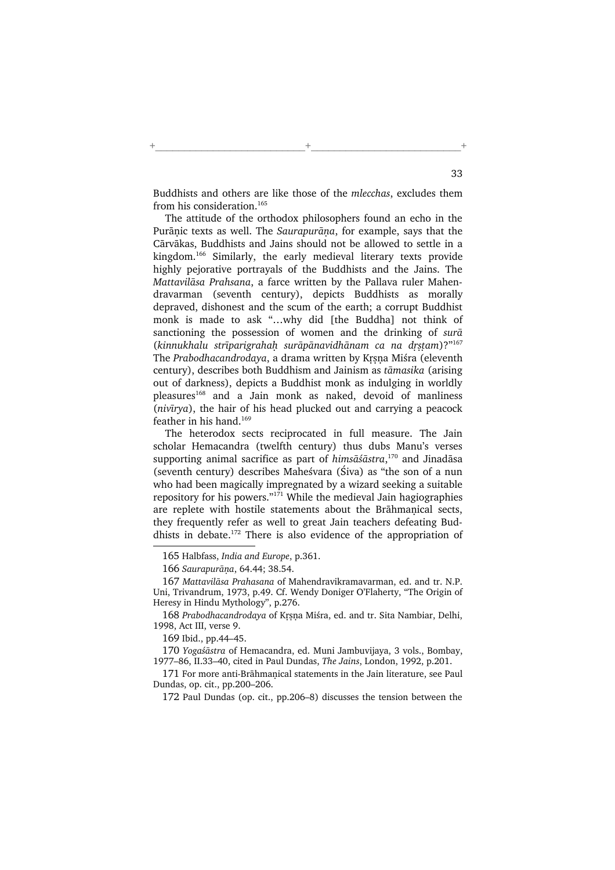Buddhists and others are like those of the mlecchas, excludes them from his consideration.<sup>165</sup>

+\_\_\_\_\_\_\_\_\_\_\_\_\_\_\_\_\_\_\_\_\_\_\_\_\_\_+\_\_\_\_\_\_\_\_\_\_\_\_\_\_\_\_\_\_\_\_\_\_\_\_\_\_+

The attitude of the orthodox philosophers found an echo in the Purānic texts as well. The Saurapurāna, for example, says that the Cārvākas, Buddhists and Jains should not be allowed to settle in a kingdom.<sup>166</sup> Similarly, the early medieval literary texts provide highly pejorative portrayals of the Buddhists and the Jains. The Mattavilāsa Prahsana, a farce written by the Pallava ruler Mahendravarman (seventh century), depicts Buddhists as morally depraved, dishonest and the scum of the earth; a corrupt Buddhist monk is made to ask "…why did [the Buddha] not think of sanctioning the possession of women and the drinking of sura  $(kinnukhalu strīparigrahah surāpānavidhānam ca na drstam) $2^{3167}$$ The Prabodhacandrodaya, a drama written by Krsna Miśra (eleventh century), describes both Buddhism and Jainism as tāmasika (arising out of darkness), depicts a Buddhist monk as indulging in worldly pleasures<sup>168</sup> and a Jain monk as naked, devoid of manliness (nivīrya), the hair of his head plucked out and carrying a peacock feather in his hand.<sup>169</sup>

The heterodox sects reciprocated in full measure. The Jain scholar Hemacandra (twelfth century) thus dubs Manu's verses supporting animal sacrifice as part of himsāśāstra,<sup>170</sup> and Jinadāsa (seventh century) describes Maheśvara (Śiva) as "the son of a nun who had been magically impregnated by a wizard seeking a suitable repository for his powers." $171$  While the medieval Jain hagiographies are replete with hostile statements about the Brāhmanical sects, they frequently refer as well to great Jain teachers defeating Buddhists in debate.<sup>172</sup> There is also evidence of the appropriation of

169 Ibid., pp.44–45.

170 Yogaśāstra of Hemacandra, ed. Muni Jambuvijaya, 3 vols., Bombay, 1977–86, II.33–40, cited in Paul Dundas, The Jains, London, 1992, p.201.

<sup>165</sup> Halbfass, India and Europe, p.361.

<sup>166</sup> Saurapurāna, 64.44; 38.54.

<sup>167</sup> Mattavilāsa Prahasana of Mahendravikramavarman, ed. and tr. N.P. Uni, Trivandrum, 1973, p.49. Cf. Wendy Doniger O'Flaherty, "The Origin of Heresy in Hindu Mythology", p.276.

<sup>168</sup> Prabodhacandrodaya of Krsna Miśra, ed. and tr. Sita Nambiar, Delhi, 1998, Act III, verse 9.

<sup>171</sup> For more anti-Brāhmanical statements in the Jain literature, see Paul Dundas, op. cit., pp.200–206.

<sup>172</sup> Paul Dundas (op. cit., pp.206–8) discusses the tension between the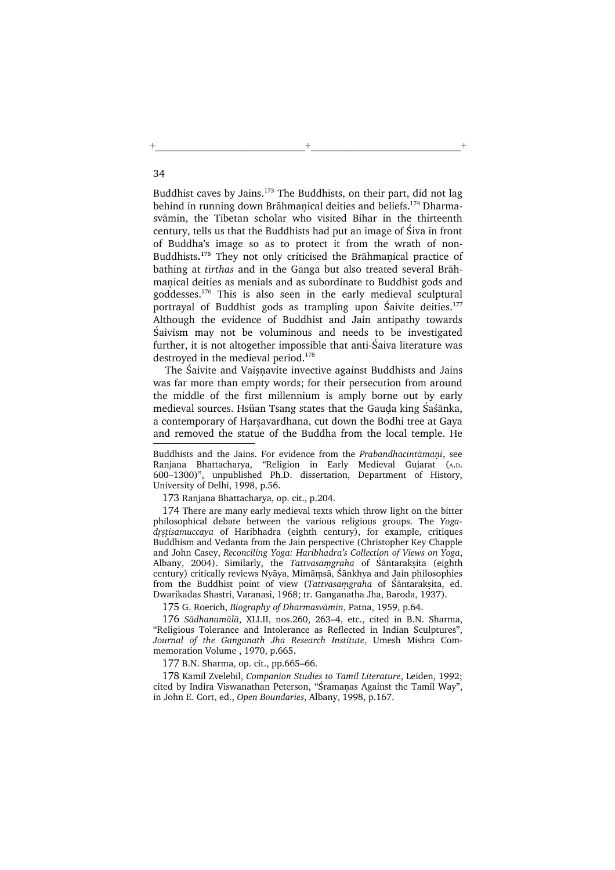Buddhist caves by Jains.<sup>173</sup> The Buddhists, on their part, did not lag behind in running down Brāhmanical deities and beliefs.<sup>174</sup> Dharmasvāmin, the Tibetan scholar who visited Bihar in the thirteenth century, tells us that the Buddhists had put an image of Śiva in front of Buddha's image so as to protect it from the wrath of non-Buddhists.<sup>175</sup> They not only criticised the Brāhmanical practice of bathing at tīrthas and in the Ganga but also treated several Brāhmanical deities as menials and as subordinate to Buddhist gods and goddesses.<sup>176</sup> This is also seen in the early medieval sculptural portrayal of Buddhist gods as trampling upon Saivite deities.<sup>177</sup> Although the evidence of Buddhist and Jain antipathy towards Śaivism may not be voluminous and needs to be investigated further, it is not altogether impossible that anti-Śaiva literature was destroyed in the medieval period.<sup>178</sup>

+\_\_\_\_\_\_\_\_\_\_\_\_\_\_\_\_\_\_\_\_\_\_\_\_\_\_+\_\_\_\_\_\_\_\_\_\_\_\_\_\_\_\_\_\_\_\_\_\_\_\_\_\_+

The Saivite and Vaisnavite invective against Buddhists and Jains was far more than empty words; for their persecution from around the middle of the first millennium is amply borne out by early medieval sources. Hsüan Tsang states that the Gauda king Śaśānka, a contemporary of Harsavardhana, cut down the Bodhi tree at Gaya and removed the statue of the Buddha from the local temple. He

Buddhists and the Jains. For evidence from the Prabandhacintāmani, see Ranjana Bhattacharya, "Religion in Early Medieval Gujarat (A.D. 600–1300)", unpublished Ph.D. dissertation, Department of History, University of Delhi, 1998, p.56.

173 Ranjana Bhattacharya, op. cit., p.204.

174 There are many early medieval texts which throw light on the bitter philosophical debate between the various religious groups. The Yogadrstisamuccaya of Haribhadra (eighth century), for example, critiques Buddhism and Vedanta from the Jain perspective (Christopher Key Chapple and John Casey, Reconciling Yoga: Haribhadra's Collection of Views on Yoga, Albany, 2004). Similarly, the *Tattvasaṃgraha* of Śāntarakṣita (eighth century) critically reviews Nyāya, Mimāṃsā, Śānkhya and Jain philosophies from the Buddhist point of view (Tattvasamgraha of Śāntaraksita, ed. Dwarikadas Shastri, Varanasi, 1968; tr. Ganganatha Jha, Baroda, 1937).

175 G. Roerich, Biography of Dharmasvāmin, Patna, 1959, p.64.

176 Sādhanamālā, XLI.II, nos.260, 263–4, etc., cited in B.N. Sharma, "Religious Tolerance and Intolerance as Reflected in Indian Sculptures", Journal of the Ganganath Jha Research Institute, Umesh Mishra Commemoration Volume , 1970, p.665.

177 B.N. Sharma, op. cit., pp.665–66.

178 Kamil Zvelebil, Companion Studies to Tamil Literature, Leiden, 1992; cited by Indira Viswanathan Peterson, "Śramanas Against the Tamil Way", in John E. Cort, ed., Open Boundaries, Albany, 1998, p.167.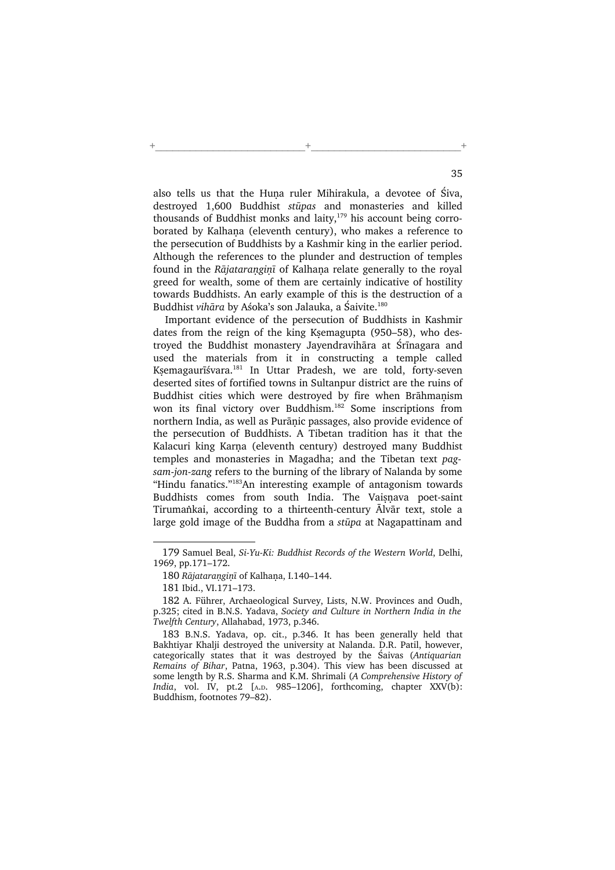also tells us that the Huna ruler Mihirakula, a devotee of Śiva, destroyed 1,600 Buddhist stūpas and monasteries and killed thousands of Buddhist monks and laity, $179$  his account being corroborated by Kalhana (eleventh century), who makes a reference to the persecution of Buddhists by a Kashmir king in the earlier period. Although the references to the plunder and destruction of temples found in the Rājataranginī of Kalhana relate generally to the royal greed for wealth, some of them are certainly indicative of hostility towards Buddhists. An early example of this is the destruction of a Buddhist vihāra by Aśoka's son Jalauka, a Śaivite.<sup>180</sup>

+\_\_\_\_\_\_\_\_\_\_\_\_\_\_\_\_\_\_\_\_\_\_\_\_\_\_+\_\_\_\_\_\_\_\_\_\_\_\_\_\_\_\_\_\_\_\_\_\_\_\_\_\_+

Important evidence of the persecution of Buddhists in Kashmir dates from the reign of the king Ksemagupta (950-58), who destroyed the Buddhist monastery Jayendravihāra at Śrīnagara and used the materials from it in constructing a temple called KKemagaurīśvara.<sup>181</sup> In Uttar Pradesh, we are told, forty-seven deserted sites of fortified towns in Sultanpur district are the ruins of Buddhist cities which were destroyed by fire when Brāhmanism won its final victory over Buddhism.<sup>182</sup> Some inscriptions from northern India, as well as Purānic passages, also provide evidence of the persecution of Buddhists. A Tibetan tradition has it that the Kalacuri king Karna (eleventh century) destroyed many Buddhist temples and monasteries in Magadha; and the Tibetan text pagsam-jon-zang refers to the burning of the library of Nalanda by some "Hindu fanatics."<sup>183</sup>An interesting example of antagonism towards Buddhists comes from south India. The Vaisnava poet-saint Tirumankai, according to a thirteenth-century Alvār text, stole a large gold image of the Buddha from a stūpa at Nagapattinam and

<sup>179</sup> Samuel Beal, Si-Yu-Ki: Buddhist Records of the Western World, Delhi, 1969, pp.171–172.

<sup>180</sup> Rājataranginī of Kalhana, I.140-144.

<sup>181</sup> Ibid., VI.171–173.

<sup>182</sup> A. Führer, Archaeological Survey, Lists, N.W. Provinces and Oudh, p.325; cited in B.N.S. Yadava, Society and Culture in Northern India in the Twelfth Century, Allahabad, 1973, p.346.

<sup>183</sup> B.N.S. Yadava, op. cit., p.346. It has been generally held that Bakhtiyar Khalji destroyed the university at Nalanda. D.R. Patil, however, categorically states that it was destroyed by the Śaivas (Antiquarian Remains of Bihar, Patna, 1963, p.304). This view has been discussed at some length by R.S. Sharma and K.M. Shrimali (A Comprehensive History of India, vol. IV, pt.2 [A.D. 985–1206], forthcoming, chapter XXV(b): Buddhism, footnotes 79–82).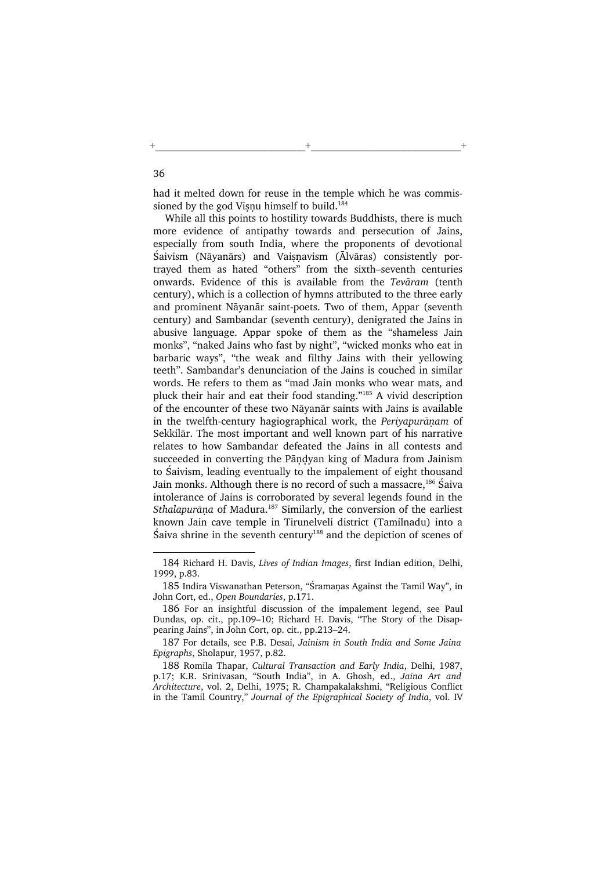had it melted down for reuse in the temple which he was commissioned by the god Visnu himself to build.<sup>184</sup>

+\_\_\_\_\_\_\_\_\_\_\_\_\_\_\_\_\_\_\_\_\_\_\_\_\_\_+\_\_\_\_\_\_\_\_\_\_\_\_\_\_\_\_\_\_\_\_\_\_\_\_\_\_+

While all this points to hostility towards Buddhists, there is much more evidence of antipathy towards and persecution of Jains, especially from south India, where the proponents of devotional Śaivism (Nāyanārs) and Vaisnavism (Ālvāras) consistently portrayed them as hated "others" from the sixth–seventh centuries onwards. Evidence of this is available from the Tevāram (tenth century), which is a collection of hymns attributed to the three early and prominent Nāyanār saint-poets. Two of them, Appar (seventh century) and Sambandar (seventh century), denigrated the Jains in abusive language. Appar spoke of them as the "shameless Jain monks", "naked Jains who fast by night", "wicked monks who eat in barbaric ways", "the weak and filthy Jains with their yellowing teeth". Sambandar's denunciation of the Jains is couched in similar words. He refers to them as "mad Jain monks who wear mats, and pluck their hair and eat their food standing."<sup>185</sup> A vivid description of the encounter of these two Nāyanār saints with Jains is available in the twelfth-century hagiographical work, the Periyapurānam of Sekkilār. The most important and well known part of his narrative relates to how Sambandar defeated the Jains in all contests and succeeded in converting the Pāndyan king of Madura from Jainism to Śaivism, leading eventually to the impalement of eight thousand Jain monks. Although there is no record of such a massacre,<sup>186</sup> Śaiva intolerance of Jains is corroborated by several legends found in the Sthalapurāņa of Madura.<sup>187</sup> Similarly, the conversion of the earliest known Jain cave temple in Tirunelveli district (Tamilnadu) into a Śaiva shrine in the seventh century<sup>188</sup> and the depiction of scenes of

<sup>184</sup> Richard H. Davis, Lives of Indian Images, first Indian edition, Delhi, 1999, p.83.

<sup>185</sup> Indira Viswanathan Peterson, "Śramanas Against the Tamil Way", in John Cort, ed., Open Boundaries, p.171.

<sup>186</sup> For an insightful discussion of the impalement legend, see Paul Dundas, op. cit., pp.109–10; Richard H. Davis, "The Story of the Disappearing Jains", in John Cort, op. cit., pp.213–24.

<sup>187</sup> For details, see P.B. Desai, Jainism in South India and Some Jaina Epigraphs, Sholapur, 1957, p.82.

<sup>188</sup> Romila Thapar, Cultural Transaction and Early India, Delhi, 1987, p.17; K.R. Srinivasan, "South India", in A. Ghosh, ed., Jaina Art and Architecture, vol. 2, Delhi, 1975; R. Champakalakshmi, "Religious Conflict in the Tamil Country," Journal of the Epigraphical Society of India, vol. IV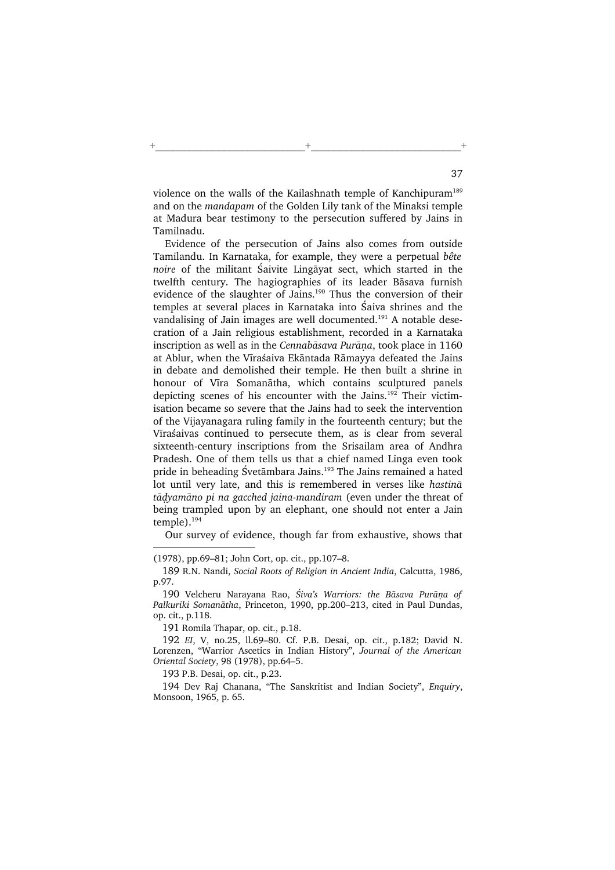violence on the walls of the Kailashnath temple of Kanchipuram<sup>189</sup> and on the mandapam of the Golden Lily tank of the Minaksi temple at Madura bear testimony to the persecution suffered by Jains in Tamilnadu.

+\_\_\_\_\_\_\_\_\_\_\_\_\_\_\_\_\_\_\_\_\_\_\_\_\_\_+\_\_\_\_\_\_\_\_\_\_\_\_\_\_\_\_\_\_\_\_\_\_\_\_\_\_+

Evidence of the persecution of Jains also comes from outside Tamilandu. In Karnataka, for example, they were a perpetual bête noire of the militant Śaivite Lingāyat sect, which started in the twelfth century. The hagiographies of its leader Bāsava furnish evidence of the slaughter of Jains.<sup>190</sup> Thus the conversion of their temples at several places in Karnataka into Śaiva shrines and the vandalising of Jain images are well documented.<sup>191</sup> A notable desecration of a Jain religious establishment, recorded in a Karnataka inscription as well as in the Cennabāsava Purāna, took place in 1160 at Ablur, when the Vīraśaiva Ekāntada Rāmayya defeated the Jains in debate and demolished their temple. He then built a shrine in honour of Vīra Somanātha, which contains sculptured panels depicting scenes of his encounter with the Jains.<sup>192</sup> Their victimisation became so severe that the Jains had to seek the intervention of the Vijayanagara ruling family in the fourteenth century; but the Vīraśaivas continued to persecute them, as is clear from several sixteenth-century inscriptions from the Srisailam area of Andhra Pradesh. One of them tells us that a chief named Linga even took pride in beheading Śvetāmbara Jains.<sup>193</sup> The Jains remained a hated lot until very late, and this is remembered in verses like hastinā tādyamāno pi na gacched jaina-mandiram (even under the threat of being trampled upon by an elephant, one should not enter a Jain temple).<sup>194</sup>

Our survey of evidence, though far from exhaustive, shows that

(1978), pp.69–81; John Cort, op. cit., pp.107–8.

191 Romila Thapar, op. cit., p.18.

193 P.B. Desai, op. cit., p.23.

194 Dev Raj Chanana, "The Sanskritist and Indian Society", Enquiry, Monsoon, 1965, p. 65.

<sup>189</sup> R.N. Nandi, Social Roots of Religion in Ancient India, Calcutta, 1986, p.97.

<sup>190</sup> Velcheru Narayana Rao, Śiva's Warriors: the Bāsava Purāna of Palkuriki Somanātha, Princeton, 1990, pp.200–213, cited in Paul Dundas, op. cit., p.118.

<sup>192</sup> EI, V, no.25, ll.69–80. Cf. P.B. Desai, op. cit., p.182; David N. Lorenzen, "Warrior Ascetics in Indian History", Journal of the American Oriental Society, 98 (1978), pp.64–5.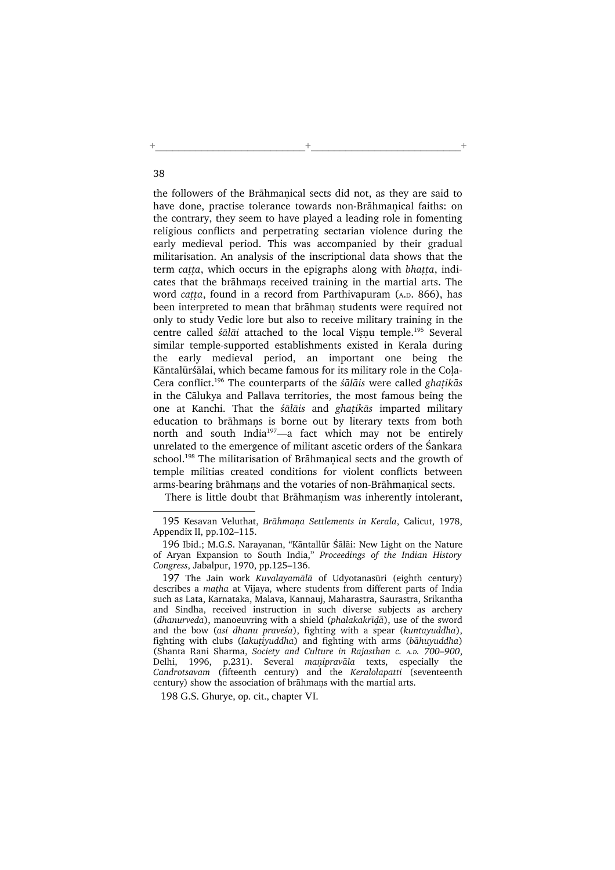the followers of the Brāhmanical sects did not, as they are said to have done, practise tolerance towards non-Brāhmanical faiths: on the contrary, they seem to have played a leading role in fomenting religious conflicts and perpetrating sectarian violence during the early medieval period. This was accompanied by their gradual militarisation. An analysis of the inscriptional data shows that the term catta, which occurs in the epigraphs along with bhatta, indicates that the brāhmans received training in the martial arts. The word catta, found in a record from Parthivapuram (A.D. 866), has been interpreted to mean that brāhman students were required not only to study Vedic lore but also to receive military training in the centre called śālāi attached to the local Vișņu temple.<sup>195</sup> Several similar temple-supported establishments existed in Kerala during the early medieval period, an important one being the Kāntalūrśālai, which became famous for its military role in the Cola-Cera conflict.<sup>196</sup> The counterparts of the  $s\bar{a}$ lais were called ghatikas in the Cālukya and Pallava territories, the most famous being the one at Kanchi. That the *śālāis* and *ghatikās* imparted military education to brāhmans is borne out by literary texts from both north and south India<sup>197</sup>—a fact which may not be entirely unrelated to the emergence of militant ascetic orders of the Śankara school.<sup>198</sup> The militarisation of Brāhmanical sects and the growth of temple militias created conditions for violent conflicts between arms-bearing brāhmans and the votaries of non-Brāhmanical sects.

+\_\_\_\_\_\_\_\_\_\_\_\_\_\_\_\_\_\_\_\_\_\_\_\_\_\_+\_\_\_\_\_\_\_\_\_\_\_\_\_\_\_\_\_\_\_\_\_\_\_\_\_\_+

There is little doubt that Brāhmanism was inherently intolerant,

198 G.S. Ghurye, op. cit., chapter VI.

<sup>195</sup> Kesavan Veluthat, Brāhmana Settlements in Kerala, Calicut, 1978, Appendix II, pp.102–115.

<sup>196</sup> Ibid.; M.G.S. Narayanan, "Kāntallūr Śālāi: New Light on the Nature of Aryan Expansion to South India," Proceedings of the Indian History Congress, Jabalpur, 1970, pp.125–136.

<sup>197</sup> The Jain work Kuvalayamālā of Udyotanasūri (eighth century) describes a matha at Vijaya, where students from different parts of India such as Lata, Karnataka, Malava, Kannauj, Maharastra, Saurastra, Srikantha and Sindha, received instruction in such diverse subjects as archery  $(dhamurveda)$ , manoeuvring with a shield  $(phalakakrīdā)$ , use of the sword and the bow (asi dhanu praveśa), fighting with a spear (kuntayuddha), fighting with clubs (lakutivuddha) and fighting with arms (bāhuvuddha) (Shanta Rani Sharma, Society and Culture in Rajasthan c. <sup>A</sup>.D. 700–900, Delhi, 1996, p.231). Several manipravāla texts, especially the Candrotsavam (fifteenth century) and the Keralolapatti (seventeenth century) show the association of brāhmans with the martial arts.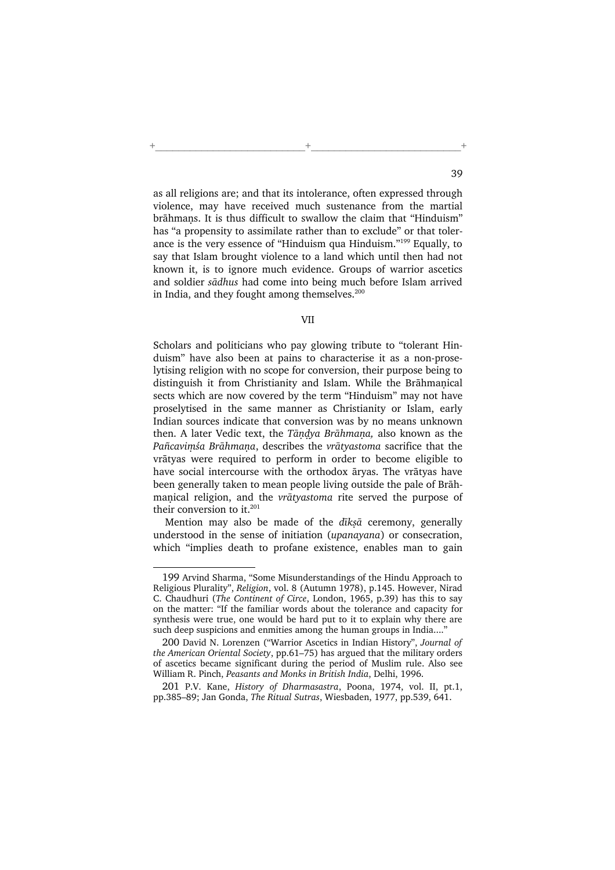as all religions are; and that its intolerance, often expressed through violence, may have received much sustenance from the martial brāhmans. It is thus difficult to swallow the claim that "Hinduism" has "a propensity to assimilate rather than to exclude" or that tolerance is the very essence of "Hinduism qua Hinduism."<sup>199</sup> Equally, to say that Islam brought violence to a land which until then had not known it, is to ignore much evidence. Groups of warrior ascetics and soldier sādhus had come into being much before Islam arrived in India, and they fought among themselves.<sup>200</sup>

+\_\_\_\_\_\_\_\_\_\_\_\_\_\_\_\_\_\_\_\_\_\_\_\_\_\_+\_\_\_\_\_\_\_\_\_\_\_\_\_\_\_\_\_\_\_\_\_\_\_\_\_\_+

## VII

Scholars and politicians who pay glowing tribute to "tolerant Hinduism" have also been at pains to characterise it as a non-proselytising religion with no scope for conversion, their purpose being to distinguish it from Christianity and Islam. While the Brāhmanical sects which are now covered by the term "Hinduism" may not have proselytised in the same manner as Christianity or Islam, early Indian sources indicate that conversion was by no means unknown then. A later Vedic text, the Tāndya Brāhmana, also known as the Pañcavimśa Brāhmana, describes the vrātyastoma sacrifice that the vrātyas were required to perform in order to become eligible to have social intercourse with the orthodox āryas. The vrātyas have been generally taken to mean people living outside the pale of Brāhmanical religion, and the vrātyastoma rite served the purpose of their conversion to it.<sup>201</sup>

Mention may also be made of the dīksā ceremony, generally understood in the sense of initiation (upanayana) or consecration, which "implies death to profane existence, enables man to gain

<sup>199</sup> Arvind Sharma, "Some Misunderstandings of the Hindu Approach to Religious Plurality", Religion, vol. 8 (Autumn 1978), p.145. However, Nirad C. Chaudhuri (The Continent of Circe, London, 1965, p.39) has this to say on the matter: "If the familiar words about the tolerance and capacity for synthesis were true, one would be hard put to it to explain why there are such deep suspicions and enmities among the human groups in India...."

<sup>200</sup> David N. Lorenzen ("Warrior Ascetics in Indian History", Journal of the American Oriental Society, pp.61–75) has argued that the military orders of ascetics became significant during the period of Muslim rule. Also see William R. Pinch, Peasants and Monks in British India, Delhi, 1996.

<sup>201</sup> P.V. Kane, History of Dharmasastra, Poona, 1974, vol. II, pt.1, pp.385–89; Jan Gonda, The Ritual Sutras, Wiesbaden, 1977, pp.539, 641.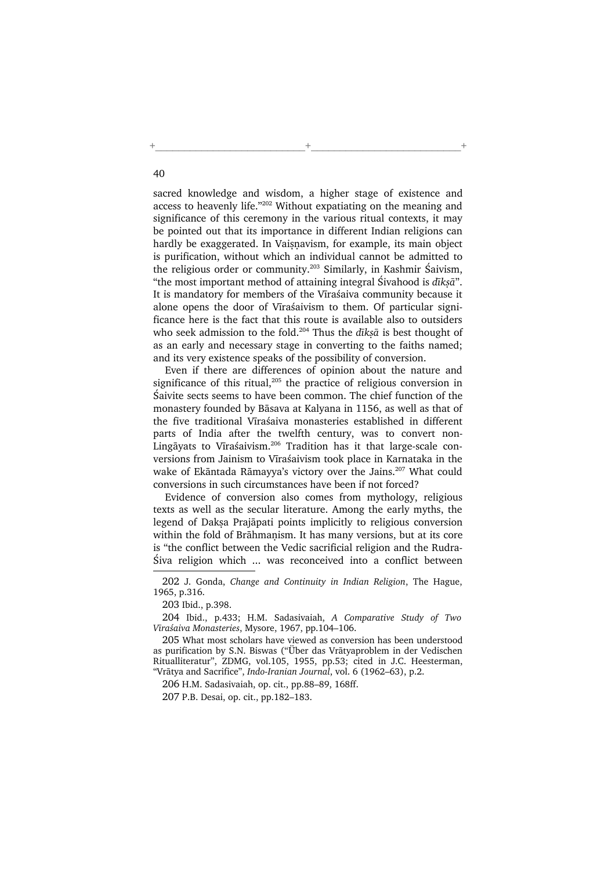sacred knowledge and wisdom, a higher stage of existence and access to heavenly life."<sup>202</sup> Without expatiating on the meaning and significance of this ceremony in the various ritual contexts, it may be pointed out that its importance in different Indian religions can hardly be exaggerated. In Vaisnavism, for example, its main object is purification, without which an individual cannot be admitted to the religious order or community.<sup>203</sup> Similarly, in Kashmir Śaivism, "the most important method of attaining integral Sivahood is  $d\bar{\imath}k s\bar{a}$ ". It is mandatory for members of the Vīraśaiva community because it alone opens the door of Vīraśaivism to them. Of particular significance here is the fact that this route is available also to outsiders who seek admission to the fold.<sup>204</sup> Thus the  $d\bar{t}$ *ksā* is best thought of as an early and necessary stage in converting to the faiths named; and its very existence speaks of the possibility of conversion.

+\_\_\_\_\_\_\_\_\_\_\_\_\_\_\_\_\_\_\_\_\_\_\_\_\_\_+\_\_\_\_\_\_\_\_\_\_\_\_\_\_\_\_\_\_\_\_\_\_\_\_\_\_+

Even if there are differences of opinion about the nature and significance of this ritual,<sup>205</sup> the practice of religious conversion in Śaivite sects seems to have been common. The chief function of the monastery founded by Bāsava at Kalyana in 1156, as well as that of the five traditional Vīraśaiva monasteries established in different parts of India after the twelfth century, was to convert non-Lingāyats to Vīraśaivism.<sup>206</sup> Tradition has it that large-scale conversions from Jainism to Vīraśaivism took place in Karnataka in the wake of Ekāntada Rāmayya's victory over the Jains.<sup>207</sup> What could conversions in such circumstances have been if not forced?

Evidence of conversion also comes from mythology, religious texts as well as the secular literature. Among the early myths, the legend of Daksa Prajāpati points implicitly to religious conversion within the fold of Brāhmaṇism. It has many versions, but at its core is "the conflict between the Vedic sacrificial religion and the Rudra-Śiva religion which ... was reconceived into a conflict between

<sup>202</sup> J. Gonda, Change and Continuity in Indian Religion, The Hague, 1965, p.316.

<sup>203</sup> Ibid., p.398.

<sup>204</sup> Ibid., p.433; H.M. Sadasivaiah, A Comparative Study of Two Vīraśaiva Monasteries, Mysore, 1967, pp.104–106.

<sup>205</sup> What most scholars have viewed as conversion has been understood as purification by S.N. Biswas ("Über das Vrātyaproblem in der Vedischen Ritualliteratur", ZDMG, vol.105, 1955, pp.53; cited in J.C. Heesterman, "Vrātya and Sacrifice", Indo-Iranian Journal, vol. 6 (1962–63), p.2.

<sup>206</sup> H.M. Sadasivaiah, op. cit., pp.88–89, 168ff.

<sup>207</sup> P.B. Desai, op. cit., pp.182–183.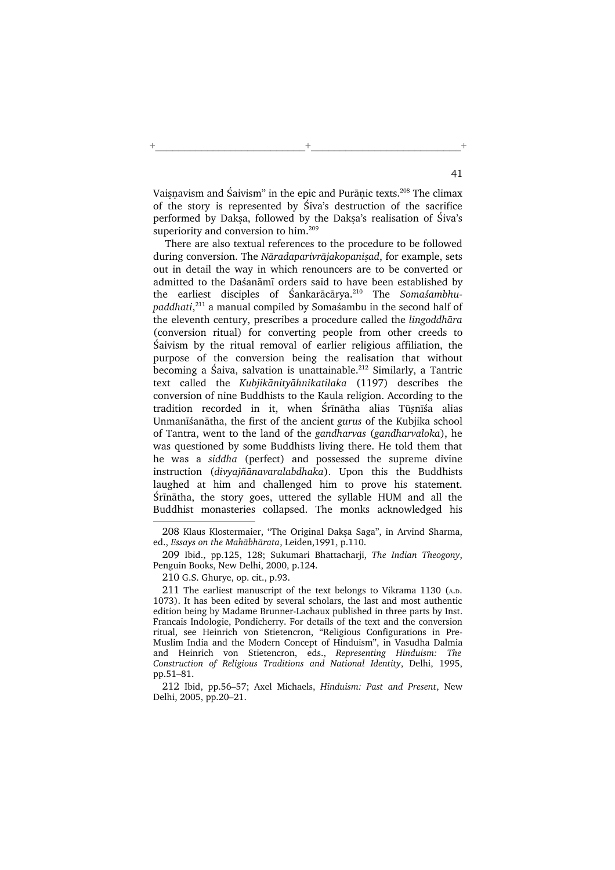Vaisnavism and Śaivism" in the epic and Purānic texts.<sup>208</sup> The climax of the story is represented by Śiva's destruction of the sacrifice performed by Daksa, followed by the Daksa's realisation of Śiva's superiority and conversion to him.<sup>209</sup>

+\_\_\_\_\_\_\_\_\_\_\_\_\_\_\_\_\_\_\_\_\_\_\_\_\_\_+\_\_\_\_\_\_\_\_\_\_\_\_\_\_\_\_\_\_\_\_\_\_\_\_\_\_+

There are also textual references to the procedure to be followed during conversion. The Nāradaparivrājakopanisad, for example, sets out in detail the way in which renouncers are to be converted or admitted to the Daśanāmī orders said to have been established by the earliest disciples of Śankarācārya.<sup>210</sup> The Somaśambhupaddhati,<sup>211</sup> a manual compiled by Somaśambu in the second half of the eleventh century, prescribes a procedure called the lingoddhāra (conversion ritual) for converting people from other creeds to Śaivism by the ritual removal of earlier religious affiliation, the purpose of the conversion being the realisation that without becoming a Śaiva, salvation is unattainable.<sup>212</sup> Similarly, a Tantric text called the Kubjikānityāhnikatilaka (1197) describes the conversion of nine Buddhists to the Kaula religion. According to the tradition recorded in it, when Śrīnātha alias Tū2nīśa alias Unmanīśanātha, the first of the ancient gurus of the Kubjika school of Tantra, went to the land of the gandharvas (gandharvaloka), he was questioned by some Buddhists living there. He told them that he was a siddha (perfect) and possessed the supreme divine instruction (divyajñānavaralabdhaka). Upon this the Buddhists laughed at him and challenged him to prove his statement. Śrīnātha, the story goes, uttered the syllable HUM and all the Buddhist monasteries collapsed. The monks acknowledged his

209 Ibid., pp.125, 128; Sukumari Bhattacharji, The Indian Theogony, Penguin Books, New Delhi, 2000, p.124.

210 G.S. Ghurye, op. cit., p.93.

211 The earliest manuscript of the text belongs to Vikrama 1130 (A.D. 1073). It has been edited by several scholars, the last and most authentic edition being by Madame Brunner-Lachaux published in three parts by Inst. Francais Indologie, Pondicherry. For details of the text and the conversion ritual, see Heinrich von Stietencron, "Religious Configurations in Pre-Muslim India and the Modern Concept of Hinduism", in Vasudha Dalmia and Heinrich von Stietencron, eds., Representing Hinduism: The Construction of Religious Traditions and National Identity, Delhi, 1995, pp.51–81.

212 Ibid, pp.56–57; Axel Michaels, Hinduism: Past and Present, New Delhi, 2005, pp.20–21.

<sup>208</sup> Klaus Klostermaier, "The Original Daksa Saga", in Arvind Sharma, ed., Essays on the Mahābhārata, Leiden,1991, p.110.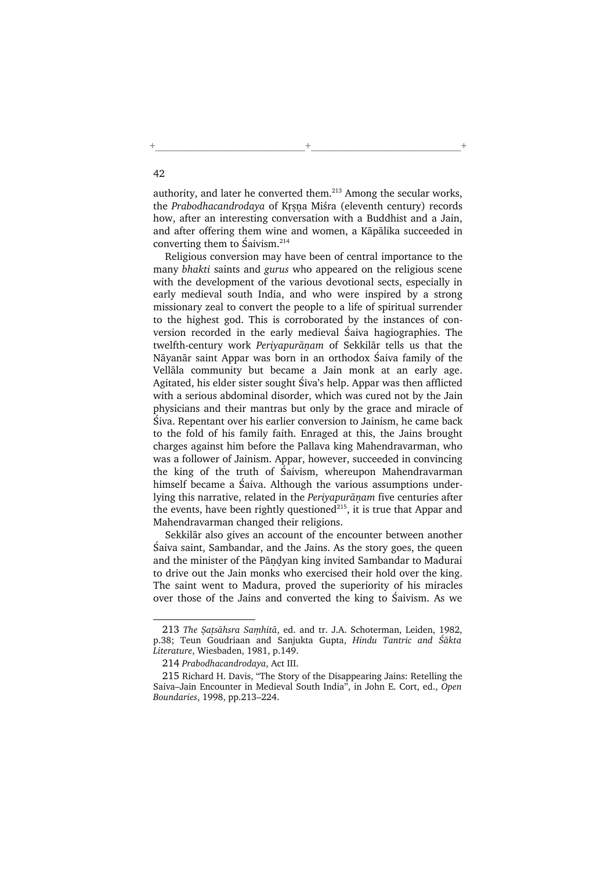authority, and later he converted them. $213$  Among the secular works, the Prabodhacandrodaya of Krsna Miśra (eleventh century) records how, after an interesting conversation with a Buddhist and a Jain, and after offering them wine and women, a Kāpālika succeeded in converting them to Śaivism. $214$ 

+\_\_\_\_\_\_\_\_\_\_\_\_\_\_\_\_\_\_\_\_\_\_\_\_\_\_+\_\_\_\_\_\_\_\_\_\_\_\_\_\_\_\_\_\_\_\_\_\_\_\_\_\_+

Religious conversion may have been of central importance to the many bhakti saints and gurus who appeared on the religious scene with the development of the various devotional sects, especially in early medieval south India, and who were inspired by a strong missionary zeal to convert the people to a life of spiritual surrender to the highest god. This is corroborated by the instances of conversion recorded in the early medieval Śaiva hagiographies. The twelfth-century work Periyapurānam of Sekkilār tells us that the Nāyanār saint Appar was born in an orthodox Śaiva family of the Vellāla community but became a Jain monk at an early age. Agitated, his elder sister sought Śiva's help. Appar was then afflicted with a serious abdominal disorder, which was cured not by the Jain physicians and their mantras but only by the grace and miracle of Śiva. Repentant over his earlier conversion to Jainism, he came back to the fold of his family faith. Enraged at this, the Jains brought charges against him before the Pallava king Mahendravarman, who was a follower of Jainism. Appar, however, succeeded in convincing the king of the truth of Śaivism, whereupon Mahendravarman himself became a Śaiva. Although the various assumptions underlying this narrative, related in the Periyapurāņam five centuries after the events, have been rightly questioned<sup>215</sup>, it is true that Appar and Mahendravarman changed their religions.

Sekkilār also gives an account of the encounter between another Śaiva saint, Sambandar, and the Jains. As the story goes, the queen and the minister of the Pāndyan king invited Sambandar to Madurai to drive out the Jain monks who exercised their hold over the king. The saint went to Madura, proved the superiority of his miracles over those of the Jains and converted the king to Śaivism. As we

<sup>213</sup> The Satsāhsra Samhitā, ed. and tr. J.A. Schoterman, Leiden, 1982, p.38; Teun Goudriaan and Sanjukta Gupta, Hindu Tantric and Śākta Literature, Wiesbaden, 1981, p.149.

<sup>214</sup> Prabodhacandrodaya, Act III.

<sup>215</sup> Richard H. Davis, "The Story of the Disappearing Jains: Retelling the Saiva–Jain Encounter in Medieval South India", in John E. Cort, ed., Open Boundaries, 1998, pp.213–224.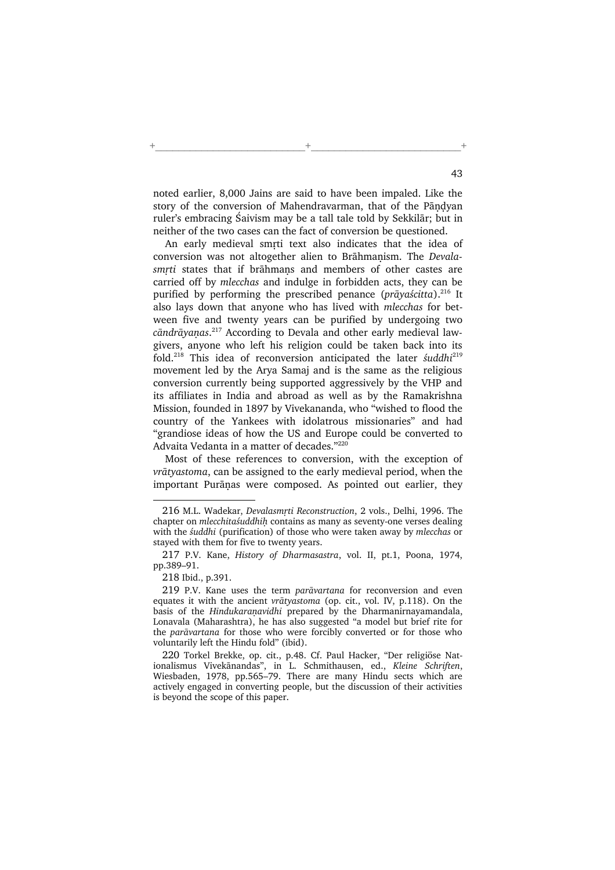noted earlier, 8,000 Jains are said to have been impaled. Like the story of the conversion of Mahendravarman, that of the Pāndvan ruler's embracing Śaivism may be a tall tale told by Sekkilār; but in neither of the two cases can the fact of conversion be questioned.

+\_\_\_\_\_\_\_\_\_\_\_\_\_\_\_\_\_\_\_\_\_\_\_\_\_\_+\_\_\_\_\_\_\_\_\_\_\_\_\_\_\_\_\_\_\_\_\_\_\_\_\_\_+

An early medieval smrti text also indicates that the idea of conversion was not altogether alien to Brāhmanism. The Devalasmrti states that if brāhmans and members of other castes are carried off by mlecchas and indulge in forbidden acts, they can be purified by performing the prescribed penance (prāyaścitta).<sup>216</sup> It also lays down that anyone who has lived with mlecchas for between five and twenty years can be purified by undergoing two cāndrāyaṇas.<sup>217</sup> According to Devala and other early medieval lawgivers, anyone who left his religion could be taken back into its fold.<sup>218</sup> This idea of reconversion anticipated the later *suddhi*<sup>219</sup> movement led by the Arya Samaj and is the same as the religious conversion currently being supported aggressively by the VHP and its affiliates in India and abroad as well as by the Ramakrishna Mission, founded in 1897 by Vivekananda, who "wished to flood the country of the Yankees with idolatrous missionaries" and had "grandiose ideas of how the US and Europe could be converted to Advaita Vedanta in a matter of decades."<sup>220</sup>

Most of these references to conversion, with the exception of vrātyastoma, can be assigned to the early medieval period, when the important Purānas were composed. As pointed out earlier, they

<sup>216</sup> M.L. Wadekar, Devalasmrti Reconstruction, 2 vols., Delhi, 1996. The chapter on mlecchitaśuddhih contains as many as seventy-one verses dealing with the śuddhi (purification) of those who were taken away by mlecchas or stayed with them for five to twenty years.

<sup>217</sup> P.V. Kane, History of Dharmasastra, vol. II, pt.1, Poona, 1974, pp.389–91.

<sup>218</sup> Ibid., p.391.

<sup>219</sup> P.V. Kane uses the term parāvartana for reconversion and even equates it with the ancient vrātyastoma (op. cit., vol. IV, p.118). On the basis of the Hindukaranavidhi prepared by the Dharmanirnayamandala, Lonavala (Maharashtra), he has also suggested "a model but brief rite for the parāvartana for those who were forcibly converted or for those who voluntarily left the Hindu fold" (ibid).

<sup>220</sup> Torkel Brekke, op. cit., p.48. Cf. Paul Hacker, "Der religiöse Nationalismus Vivekānandas", in L. Schmithausen, ed., Kleine Schriften, Wiesbaden, 1978, pp.565–79. There are many Hindu sects which are actively engaged in converting people, but the discussion of their activities is beyond the scope of this paper.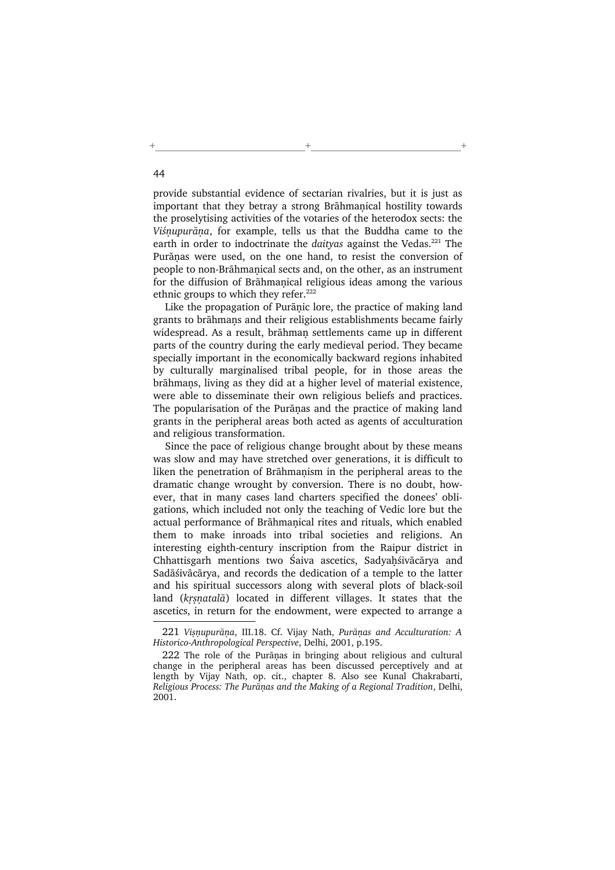provide substantial evidence of sectarian rivalries, but it is just as important that they betray a strong Brāhmanical hostility towards the proselytising activities of the votaries of the heterodox sects: the Viśnupurāna, for example, tells us that the Buddha came to the earth in order to indoctrinate the *daitvas* against the Vedas.<sup>221</sup> The Purānas were used, on the one hand, to resist the conversion of people to non-Brāhmanical sects and, on the other, as an instrument for the diffusion of Brāhmanical religious ideas among the various ethnic groups to which they refer.<sup>222</sup>

+\_\_\_\_\_\_\_\_\_\_\_\_\_\_\_\_\_\_\_\_\_\_\_\_\_\_+\_\_\_\_\_\_\_\_\_\_\_\_\_\_\_\_\_\_\_\_\_\_\_\_\_\_+

Like the propagation of Purāṇic lore, the practice of making land grants to brāhmans and their religious establishments became fairly widespread. As a result, brāhman settlements came up in different parts of the country during the early medieval period. They became specially important in the economically backward regions inhabited by culturally marginalised tribal people, for in those areas the brāhmans, living as they did at a higher level of material existence, were able to disseminate their own religious beliefs and practices. The popularisation of the Purānas and the practice of making land grants in the peripheral areas both acted as agents of acculturation and religious transformation.

Since the pace of religious change brought about by these means was slow and may have stretched over generations, it is difficult to liken the penetration of Brāhmanism in the peripheral areas to the dramatic change wrought by conversion. There is no doubt, however, that in many cases land charters specified the donees' obligations, which included not only the teaching of Vedic lore but the actual performance of Brāhmanical rites and rituals, which enabled them to make inroads into tribal societies and religions. An interesting eighth-century inscription from the Raipur district in Chhattisgarh mentions two Śaiva ascetics, Sadyahśivācārya and Sadāśivācārya, and records the dedication of a temple to the latter and his spiritual successors along with several plots of black-soil land (krsnatalā) located in different villages. It states that the ascetics, in return for the endowment, were expected to arrange a

<sup>221</sup> Visnupurāna, III.18. Cf. Vijay Nath, Purānas and Acculturation: A Historico-Anthropological Perspective, Delhi, 2001, p.195.

<sup>222</sup> The role of the Purānas in bringing about religious and cultural change in the peripheral areas has been discussed perceptively and at length by Vijay Nath, op. cit., chapter 8. Also see Kunal Chakrabarti, Religious Process: The Purānas and the Making of a Regional Tradition, Delhi, 2001.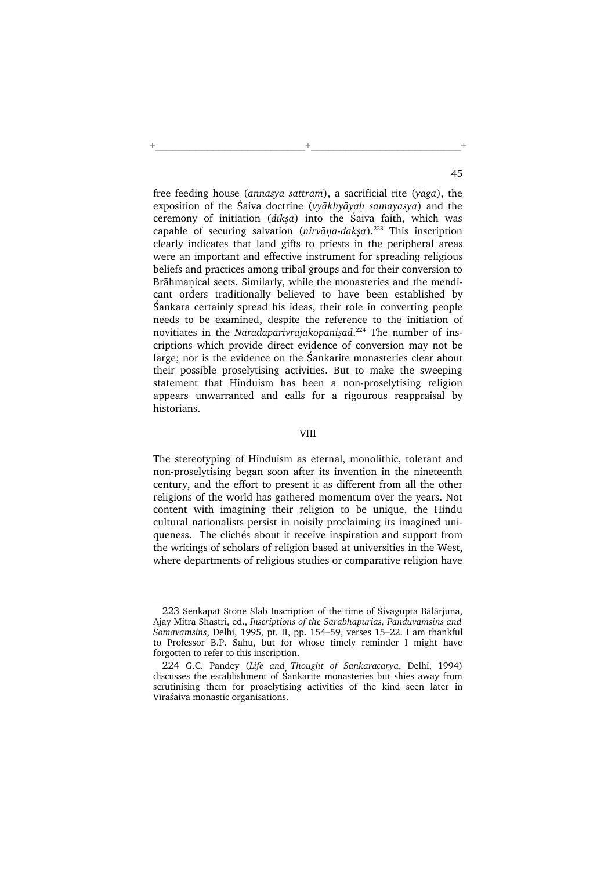free feeding house (annasya sattram), a sacrificial rite (yāga), the exposition of the Śaiva doctrine (*vyākhyāvah samayasya*) and the ceremony of initiation ( $d\bar{t}$ *ksā*) into the Śaiva faith, which was capable of securing salvation ( $nirvāna-daksa$ ).<sup>223</sup> This inscription clearly indicates that land gifts to priests in the peripheral areas were an important and effective instrument for spreading religious beliefs and practices among tribal groups and for their conversion to Brāhmanical sects. Similarly, while the monasteries and the mendicant orders traditionally believed to have been established by Śankara certainly spread his ideas, their role in converting people needs to be examined, despite the reference to the initiation of novitiates in the Nāradaparivrājakopanisad.<sup>224</sup> The number of inscriptions which provide direct evidence of conversion may not be large; nor is the evidence on the Śankarite monasteries clear about their possible proselytising activities. But to make the sweeping statement that Hinduism has been a non-proselytising religion appears unwarranted and calls for a rigourous reappraisal by historians.

+\_\_\_\_\_\_\_\_\_\_\_\_\_\_\_\_\_\_\_\_\_\_\_\_\_\_+\_\_\_\_\_\_\_\_\_\_\_\_\_\_\_\_\_\_\_\_\_\_\_\_\_\_+

## VIII

The stereotyping of Hinduism as eternal, monolithic, tolerant and non-proselytising began soon after its invention in the nineteenth century, and the effort to present it as different from all the other religions of the world has gathered momentum over the years. Not content with imagining their religion to be unique, the Hindu cultural nationalists persist in noisily proclaiming its imagined uniqueness. The clichés about it receive inspiration and support from the writings of scholars of religion based at universities in the West, where departments of religious studies or comparative religion have

<sup>223</sup> Senkapat Stone Slab Inscription of the time of Śivagupta Bālārjuna, Ajay Mitra Shastri, ed., Inscriptions of the Sarabhapurias, Panduvamsins and Somavamsins, Delhi, 1995, pt. II, pp. 154–59, verses 15–22. I am thankful to Professor B.P. Sahu, but for whose timely reminder I might have forgotten to refer to this inscription.

<sup>224</sup> G.C. Pandey (Life and Thought of Sankaracarya, Delhi, 1994) discusses the establishment of Śankarite monasteries but shies away from scrutinising them for proselytising activities of the kind seen later in Vīraśaiva monastic organisations.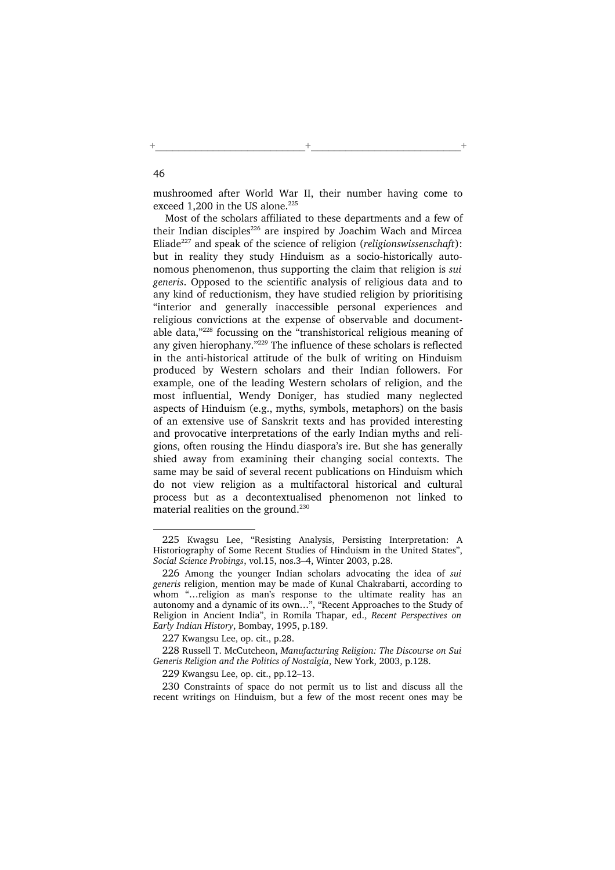mushroomed after World War II, their number having come to exceed 1,200 in the US alone. $225$ 

+\_\_\_\_\_\_\_\_\_\_\_\_\_\_\_\_\_\_\_\_\_\_\_\_\_\_+\_\_\_\_\_\_\_\_\_\_\_\_\_\_\_\_\_\_\_\_\_\_\_\_\_\_+

Most of the scholars affiliated to these departments and a few of their Indian disciples<sup>226</sup> are inspired by Joachim Wach and Mircea Eliade<sup>227</sup> and speak of the science of religion (*religionswissenschaft*): but in reality they study Hinduism as a socio-historically autonomous phenomenon, thus supporting the claim that religion is sui generis. Opposed to the scientific analysis of religious data and to any kind of reductionism, they have studied religion by prioritising "interior and generally inaccessible personal experiences and religious convictions at the expense of observable and documentable data,"<sup>228</sup> focussing on the "transhistorical religious meaning of any given hierophany."<sup>229</sup> The influence of these scholars is reflected in the anti-historical attitude of the bulk of writing on Hinduism produced by Western scholars and their Indian followers. For example, one of the leading Western scholars of religion, and the most influential, Wendy Doniger, has studied many neglected aspects of Hinduism (e.g., myths, symbols, metaphors) on the basis of an extensive use of Sanskrit texts and has provided interesting and provocative interpretations of the early Indian myths and religions, often rousing the Hindu diaspora's ire. But she has generally shied away from examining their changing social contexts. The same may be said of several recent publications on Hinduism which do not view religion as a multifactoral historical and cultural process but as a decontextualised phenomenon not linked to material realities on the ground.<sup>230</sup>

<sup>225</sup> Kwagsu Lee, "Resisting Analysis, Persisting Interpretation: A Historiography of Some Recent Studies of Hinduism in the United States", Social Science Probings, vol.15, nos.3–4, Winter 2003, p.28.

<sup>226</sup> Among the younger Indian scholars advocating the idea of sui generis religion, mention may be made of Kunal Chakrabarti, according to whom "...religion as man's response to the ultimate reality has an autonomy and a dynamic of its own…", "Recent Approaches to the Study of Religion in Ancient India", in Romila Thapar, ed., Recent Perspectives on Early Indian History, Bombay, 1995, p.189.

<sup>227</sup> Kwangsu Lee, op. cit., p.28.

<sup>228</sup> Russell T. McCutcheon, Manufacturing Religion: The Discourse on Sui Generis Religion and the Politics of Nostalgia, New York, 2003, p.128.

<sup>229</sup> Kwangsu Lee, op. cit., pp.12–13.

<sup>230</sup> Constraints of space do not permit us to list and discuss all the recent writings on Hinduism, but a few of the most recent ones may be